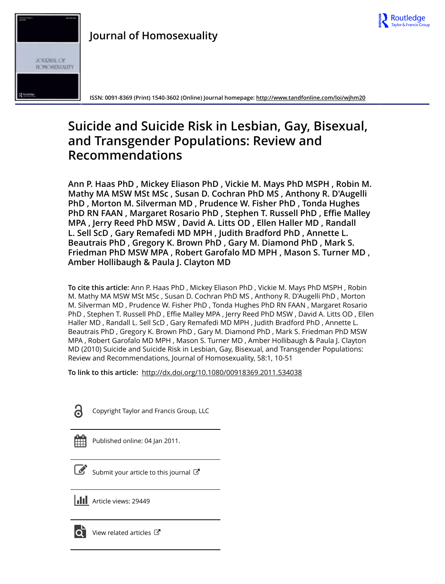

# **Journal of Homosexuality**



**ISSN: 0091-8369 (Print) 1540-3602 (Online) Journal homepage:<http://www.tandfonline.com/loi/wjhm20>**

# **Suicide and Suicide Risk in Lesbian, Gay, Bisexual, and Transgender Populations: Review and Recommendations**

**Ann P. Haas PhD , Mickey Eliason PhD , Vickie M. Mays PhD MSPH , Robin M. Mathy MA MSW MSt MSc , Susan D. Cochran PhD MS , Anthony R. D'Augelli PhD , Morton M. Silverman MD , Prudence W. Fisher PhD , Tonda Hughes PhD RN FAAN , Margaret Rosario PhD , Stephen T. Russell PhD , Effie Malley MPA , Jerry Reed PhD MSW , David A. Litts OD , Ellen Haller MD , Randall L. Sell ScD , Gary Remafedi MD MPH , Judith Bradford PhD , Annette L. Beautrais PhD , Gregory K. Brown PhD , Gary M. Diamond PhD , Mark S. Friedman PhD MSW MPA , Robert Garofalo MD MPH , Mason S. Turner MD , Amber Hollibaugh & Paula J. Clayton MD**

**To cite this article:** Ann P. Haas PhD , Mickey Eliason PhD , Vickie M. Mays PhD MSPH , Robin M. Mathy MA MSW MSt MSc , Susan D. Cochran PhD MS , Anthony R. D'Augelli PhD , Morton M. Silverman MD , Prudence W. Fisher PhD , Tonda Hughes PhD RN FAAN , Margaret Rosario PhD , Stephen T. Russell PhD , Effie Malley MPA , Jerry Reed PhD MSW , David A. Litts OD , Ellen Haller MD , Randall L. Sell ScD , Gary Remafedi MD MPH , Judith Bradford PhD , Annette L. Beautrais PhD , Gregory K. Brown PhD , Gary M. Diamond PhD , Mark S. Friedman PhD MSW MPA , Robert Garofalo MD MPH , Mason S. Turner MD , Amber Hollibaugh & Paula J. Clayton MD (2010) Suicide and Suicide Risk in Lesbian, Gay, Bisexual, and Transgender Populations: Review and Recommendations, Journal of Homosexuality, 58:1, 10-51

**To link to this article:** <http://dx.doi.org/10.1080/00918369.2011.534038>

6

Copyright Taylor and Francis Group, LLC

Published online: 04 Jan 2011.

[Submit your article to this journal](http://www.tandfonline.com/action/authorSubmission?journalCode=wjhm20&show=instructions)  $\mathbb{Z}$ 

**III** Article views: 29449

[View related articles](http://www.tandfonline.com/doi/mlt/10.1080/00918369.2011.534038) C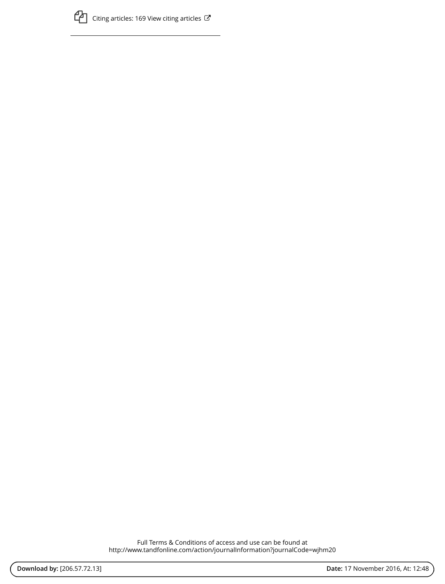

Full Terms & Conditions of access and use can be found at <http://www.tandfonline.com/action/journalInformation?journalCode=wjhm20>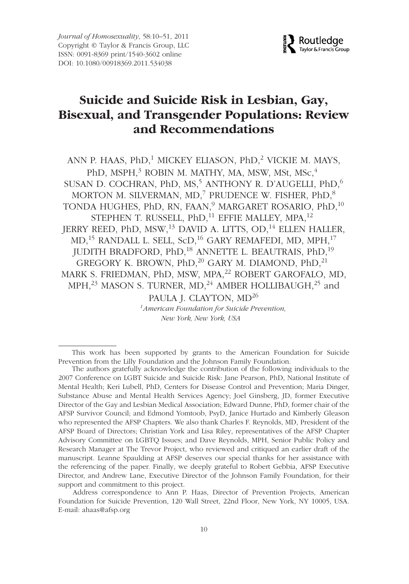*Journal of Homosexuality*, 58:10–51, 2011 Copyright © Taylor & Francis Group, LLC ISSN: 0091-8369 print/1540-3602 online DOI: 10.1080/00918369.2011.534038



# **Suicide and Suicide Risk in Lesbian, Gay, Bisexual, and Transgender Populations: Review and Recommendations**

ANN P. HAAS, PhD,<sup>1</sup> MICKEY ELIASON, PhD,<sup>2</sup> VICKIE M. MAYS, PhD, MSPH $^{3}$  ROBIN M, MATHY, MA, MSW, MSt, MSc,  $^{4}$ SUSAN D. COCHRAN, PhD, MS,<sup>5</sup> ANTHONY R. D'AUGELLI, PhD,<sup>6</sup> MORTON M. SILVERMAN, MD,<sup>7</sup> PRUDENCE W. FISHER, PhD, $^8$ TONDA HUGHES, PhD, RN, FAAN,<sup>9</sup> MARGARET ROSARIO, PhD,<sup>10</sup> STEPHEN T. RUSSELL, PhD,<sup>11</sup> EFFIE MALLEY, MPA,<sup>12</sup> JERRY REED, PhD, MSW,<sup>13</sup> DAVID A. LITTS, OD,<sup>14</sup> ELLEN HALLER, MD,<sup>15</sup> RANDALL L. SELL, ScD,<sup>16</sup> GARY REMAFEDI, MD, MPH,<sup>17</sup> JUDITH BRADFORD, PhD,<sup>18</sup> ANNETTE L. BEAUTRAIS, PhD,<sup>19</sup> GREGORY K. BROWN, PhD,<sup>20</sup> GARY M. DIAMOND, PhD,<sup>21</sup> MARK S. FRIEDMAN, PhD, MSW, MPA,<sup>22</sup> ROBERT GAROFALO, MD, MPH,<sup>23</sup> MASON S. TURNER, MD,<sup>24</sup> AMBER HOLLIBAUGH,<sup>25</sup> and PAULA J. CLAYTON, MD<sup>26</sup>

*1American Foundation for Suicide Prevention, New York, New York, USA*

This work has been supported by grants to the American Foundation for Suicide Prevention from the Lilly Foundation and the Johnson Family Foundation.

The authors gratefully acknowledge the contribution of the following individuals to the 2007 Conference on LGBT Suicide and Suicide Risk: Jane Pearson, PhD, National Institute of Mental Health; Keri Lubell, PhD, Centers for Disease Control and Prevention; Maria Dinger, Substance Abuse and Mental Health Services Agency; Joel Ginsberg, JD, former Executive Director of the Gay and Lesbian Medical Association; Edward Dunne, PhD, former chair of the AFSP Survivor Council; and Edmond Yomtoob, PsyD, Janice Hurtado and Kimberly Gleason who represented the AFSP Chapters. We also thank Charles F. Reynolds, MD, President of the AFSP Board of Directors; Christian York and Lisa Riley, representatives of the AFSP Chapter Advisory Committee on LGBTQ Issues; and Dave Reynolds, MPH, Senior Public Policy and Research Manager at The Trevor Project, who reviewed and critiqued an earlier draft of the manuscript. Leanne Spaulding at AFSP deserves our special thanks for her assistance with the referencing of the paper. Finally, we deeply grateful to Robert Gebbia, AFSP Executive Director, and Andrew Lane, Executive Director of the Johnson Family Foundation, for their support and commitment to this project.

Address correspondence to Ann P. Haas, Director of Prevention Projects, American Foundation for Suicide Prevention, 120 Wall Street, 22nd Floor, New York, NY 10005, USA. E-mail: ahaas@afsp.org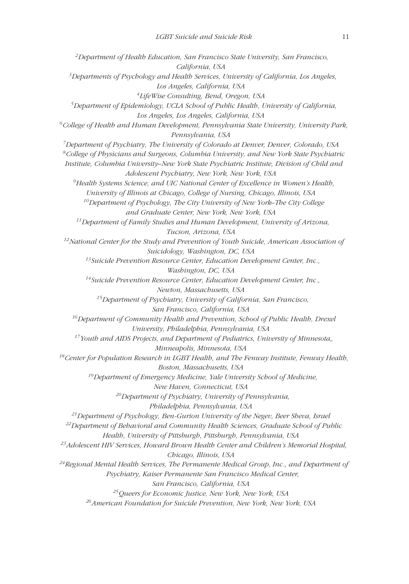*2Department of Health Education, San Francisco State University, San Francisco, California, USA 3Departments of Psychology and Health Services, University of California, Los Angeles, Los Angeles, California, USA 4LifeWise Consulting, Bend, Oregon, USA 5Department of Epidemiology, UCLA School of Public Health, University of California, Los Angeles, Los Angeles, California, USA 6College of Health and Human Development, Pennsylvania State University, University Park, Pennsylvania, USA 7Department of Psychiatry, The University of Colorado at Denver, Denver, Colorado, USA 8College of Physicians and Surgeons, Columbia University, and New York State Psychiatric Institute, Columbia University–New York State Psychiatric Institute, Division of Child and Adolescent Psychiatry, New York, New York, USA 9Health Systems Science, and UIC National Center of Excellence in Women's Health, University of Illinois at Chicago, College of Nursing, Chicago, Illinois, USA 10Department of Psychology, The City University of New York–The City College and Graduate Center, New York, New York, USA 11Department of Family Studies and Human Development, University of Arizona, Tucson, Arizona, USA 12National Center for the Study and Prevention of Youth Suicide, American Association of Suicidology, Washington, DC, USA 13Suicide Prevention Resource Center, Education Development Center, Inc., Washington, DC, USA 14Suicide Prevention Resource Center, Education Development Center, Inc., Newton, Massachusetts, USA 15Department of Psychiatry, University of California, San Francisco, San Francisco, California, USA 16Department of Community Health and Prevention, School of Public Health, Drexel University, Philadelphia, Pennsylvania, USA* <sup>17</sup> Youth and AIDS Projects, and Department of Pediatrics, University of Minnesota, *Minneapolis, Minnesota, USA 18Center for Population Research in LGBT Health, and The Fenway Institute, Fenway Health, Boston, Massachusetts, USA 19Department of Emergency Medicine, Yale University School of Medicine, New Haven, Connecticut, USA 20Department of Psychiatry, University of Pennsylvania, Philadelphia, Pennsylvania, USA 21Department of Psychology, Ben-Gurion University of the Negev, Beer Sheva, Israel 22Department of Behavioral and Community Health Sciences, Graduate School of Public Health, University of Pittsburgh, Pittsburgh, Pennsylvania, USA 23Adolescent HIV Services, Howard Brown Health Center and Children's Memorial Hospital, Chicago, Illinois, USA 24Regional Mental Health Services, The Permanente Medical Group, Inc., and Department of Psychiatry, Kaiser Permanente San Francisco Medical Center, San Francisco, California, USA 25Queers for Economic Justice, New York, New York, USA 26American Foundation for Suicide Prevention, New York, New York, USA*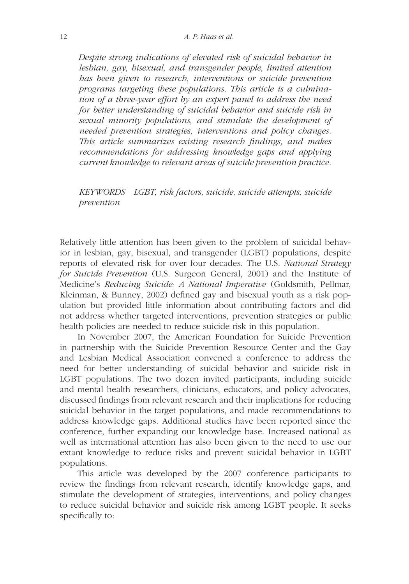*Despite strong indications of elevated risk of suicidal behavior in lesbian, gay, bisexual, and transgender people, limited attention has been given to research, interventions or suicide prevention programs targeting these populations. This article is a culmination of a three-year effort by an expert panel to address the need for better understanding of suicidal behavior and suicide risk in sexual minority populations, and stimulate the development of needed prevention strategies, interventions and policy changes. This article summarizes existing research findings, and makes recommendations for addressing knowledge gaps and applying current knowledge to relevant areas of suicide prevention practice.*

*KEYWORDS LGBT, risk factors, suicide, suicide attempts, suicide prevention*

Relatively little attention has been given to the problem of suicidal behavior in lesbian, gay, bisexual, and transgender (LGBT) populations, despite reports of elevated risk for over four decades. The U.S. *National Strategy for Suicide Prevention* (U.S. Surgeon General, 2001) and the Institute of Medicine's *Reducing Suicide: A National Imperative* (Goldsmith, Pellmar, Kleinman, & Bunney, 2002) defined gay and bisexual youth as a risk population but provided little information about contributing factors and did not address whether targeted interventions, prevention strategies or public health policies are needed to reduce suicide risk in this population.

In November 2007, the American Foundation for Suicide Prevention in partnership with the Suicide Prevention Resource Center and the Gay and Lesbian Medical Association convened a conference to address the need for better understanding of suicidal behavior and suicide risk in LGBT populations. The two dozen invited participants, including suicide and mental health researchers, clinicians, educators, and policy advocates, discussed findings from relevant research and their implications for reducing suicidal behavior in the target populations, and made recommendations to address knowledge gaps. Additional studies have been reported since the conference, further expanding our knowledge base. Increased national as well as international attention has also been given to the need to use our extant knowledge to reduce risks and prevent suicidal behavior in LGBT populations.

This article was developed by the 2007 conference participants to review the findings from relevant research, identify knowledge gaps, and stimulate the development of strategies, interventions, and policy changes to reduce suicidal behavior and suicide risk among LGBT people. It seeks specifically to: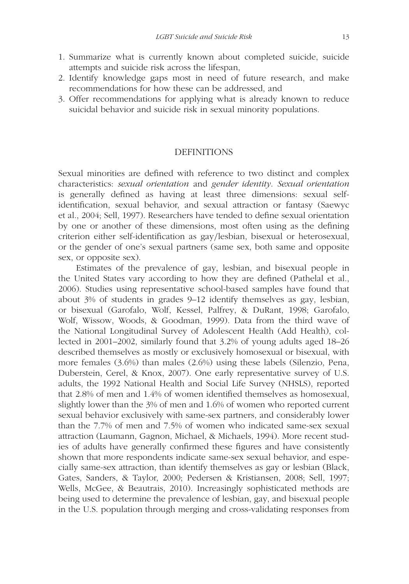- 1. Summarize what is currently known about completed suicide, suicide attempts and suicide risk across the lifespan,
- 2. Identify knowledge gaps most in need of future research, and make recommendations for how these can be addressed, and
- 3. Offer recommendations for applying what is already known to reduce suicidal behavior and suicide risk in sexual minority populations.

#### DEFINITIONS

Sexual minorities are defined with reference to two distinct and complex characteristics: *sexual orientation* and *gender identity*. *Sexual orientation* is generally defined as having at least three dimensions: sexual selfidentification, sexual behavior, and sexual attraction or fantasy (Saewyc et al., 2004; Sell, 1997). Researchers have tended to define sexual orientation by one or another of these dimensions, most often using as the defining criterion either self-identification as gay*/*lesbian, bisexual or heterosexual, or the gender of one's sexual partners (same sex, both same and opposite sex, or opposite sex).

Estimates of the prevalence of gay, lesbian, and bisexual people in the United States vary according to how they are defined (Pathelal et al., 2006). Studies using representative school-based samples have found that about 3% of students in grades 9–12 identify themselves as gay, lesbian, or bisexual (Garofalo, Wolf, Kessel, Palfrey, & DuRant, 1998; Garofalo, Wolf, Wissow, Woods, & Goodman, 1999). Data from the third wave of the National Longitudinal Survey of Adolescent Health (Add Health), collected in 2001–2002, similarly found that 3.2% of young adults aged 18–26 described themselves as mostly or exclusively homosexual or bisexual, with more females (3.6%) than males (2.6%) using these labels (Silenzio, Pena, Duberstein, Cerel, & Knox, 2007). One early representative survey of U.S. adults, the 1992 National Health and Social Life Survey (NHSLS), reported that 2.8% of men and 1.4% of women identified themselves as homosexual, slightly lower than the 3% of men and 1.6% of women who reported current sexual behavior exclusively with same-sex partners, and considerably lower than the 7.7% of men and 7.5% of women who indicated same-sex sexual attraction (Laumann, Gagnon, Michael, & Michaels, 1994). More recent studies of adults have generally confirmed these figures and have consistently shown that more respondents indicate same-sex sexual behavior, and especially same-sex attraction, than identify themselves as gay or lesbian (Black, Gates, Sanders, & Taylor, 2000; Pedersen & Kristiansen, 2008; Sell, 1997; Wells, McGee, & Beautrais, 2010). Increasingly sophisticated methods are being used to determine the prevalence of lesbian, gay, and bisexual people in the U.S. population through merging and cross-validating responses from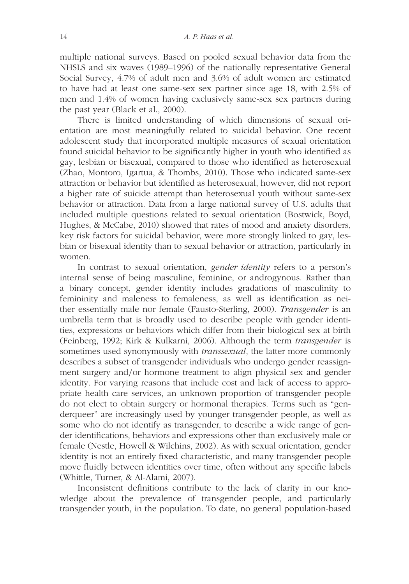multiple national surveys. Based on pooled sexual behavior data from the NHSLS and six waves (1989–1996) of the nationally representative General Social Survey, 4.7% of adult men and 3.6% of adult women are estimated to have had at least one same-sex sex partner since age 18, with 2.5% of men and 1.4% of women having exclusively same-sex sex partners during the past year (Black et al., 2000).

There is limited understanding of which dimensions of sexual orientation are most meaningfully related to suicidal behavior. One recent adolescent study that incorporated multiple measures of sexual orientation found suicidal behavior to be significantly higher in youth who identified as gay, lesbian or bisexual, compared to those who identified as heterosexual (Zhao, Montoro, Igartua, & Thombs, 2010). Those who indicated same-sex attraction or behavior but identified as heterosexual, however, did not report a higher rate of suicide attempt than heterosexual youth without same-sex behavior or attraction. Data from a large national survey of U.S. adults that included multiple questions related to sexual orientation (Bostwick, Boyd, Hughes, & McCabe, 2010) showed that rates of mood and anxiety disorders, key risk factors for suicidal behavior, were more strongly linked to gay, lesbian or bisexual identity than to sexual behavior or attraction, particularly in women.

In contrast to sexual orientation, *gender identity* refers to a person's internal sense of being masculine, feminine, or androgynous. Rather than a binary concept, gender identity includes gradations of masculinity to femininity and maleness to femaleness, as well as identification as neither essentially male nor female (Fausto-Sterling, 2000). *Transgender* is an umbrella term that is broadly used to describe people with gender identities, expressions or behaviors which differ from their biological sex at birth (Feinberg, 1992; Kirk & Kulkarni, 2006). Although the term *transgender* is sometimes used synonymously with *transsexual*, the latter more commonly describes a subset of transgender individuals who undergo gender reassignment surgery and*/*or hormone treatment to align physical sex and gender identity. For varying reasons that include cost and lack of access to appropriate health care services, an unknown proportion of transgender people do not elect to obtain surgery or hormonal therapies. Terms such as "genderqueer" are increasingly used by younger transgender people, as well as some who do not identify as transgender, to describe a wide range of gender identifications, behaviors and expressions other than exclusively male or female (Nestle, Howell & Wilchins, 2002). As with sexual orientation, gender identity is not an entirely fixed characteristic, and many transgender people move fluidly between identities over time, often without any specific labels (Whittle, Turner, & Al-Alami, 2007).

Inconsistent definitions contribute to the lack of clarity in our knowledge about the prevalence of transgender people, and particularly transgender youth, in the population. To date, no general population-based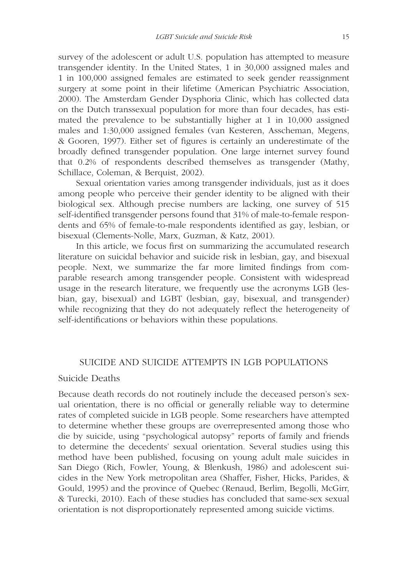survey of the adolescent or adult U.S. population has attempted to measure transgender identity. In the United States, 1 in 30,000 assigned males and 1 in 100,000 assigned females are estimated to seek gender reassignment surgery at some point in their lifetime (American Psychiatric Association, 2000). The Amsterdam Gender Dysphoria Clinic, which has collected data on the Dutch transsexual population for more than four decades, has estimated the prevalence to be substantially higher at 1 in 10,000 assigned males and 1:30,000 assigned females (van Kesteren, Asscheman, Megens, & Gooren, 1997). Either set of figures is certainly an underestimate of the broadly defined transgender population. One large internet survey found that 0.2% of respondents described themselves as transgender (Mathy, Schillace, Coleman, & Berquist, 2002).

Sexual orientation varies among transgender individuals, just as it does among people who perceive their gender identity to be aligned with their biological sex. Although precise numbers are lacking, one survey of 515 self-identified transgender persons found that 31% of male-to-female respondents and 65% of female-to-male respondents identified as gay, lesbian, or bisexual (Clements-Nolle, Marx, Guzman, & Katz, 2001).

In this article, we focus first on summarizing the accumulated research literature on suicidal behavior and suicide risk in lesbian, gay, and bisexual people. Next, we summarize the far more limited findings from comparable research among transgender people. Consistent with widespread usage in the research literature, we frequently use the acronyms LGB (lesbian, gay, bisexual) and LGBT (lesbian, gay, bisexual, and transgender) while recognizing that they do not adequately reflect the heterogeneity of self-identifications or behaviors within these populations.

# SUICIDE AND SUICIDE ATTEMPTS IN LGB POPULATIONS

### Suicide Deaths

Because death records do not routinely include the deceased person's sexual orientation, there is no official or generally reliable way to determine rates of completed suicide in LGB people. Some researchers have attempted to determine whether these groups are overrepresented among those who die by suicide, using "psychological autopsy" reports of family and friends to determine the decedents' sexual orientation. Several studies using this method have been published, focusing on young adult male suicides in San Diego (Rich, Fowler, Young, & Blenkush, 1986) and adolescent suicides in the New York metropolitan area (Shaffer, Fisher, Hicks, Parides, & Gould, 1995) and the province of Quebec (Renaud, Berlim, Begolli, McGirr, & Turecki, 2010). Each of these studies has concluded that same-sex sexual orientation is not disproportionately represented among suicide victims.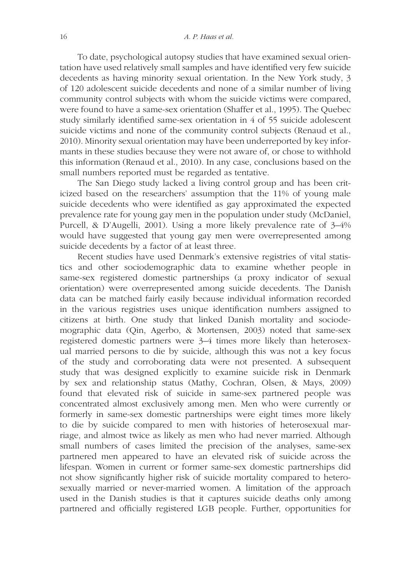To date, psychological autopsy studies that have examined sexual orientation have used relatively small samples and have identified very few suicide decedents as having minority sexual orientation. In the New York study, 3 of 120 adolescent suicide decedents and none of a similar number of living community control subjects with whom the suicide victims were compared, were found to have a same-sex orientation (Shaffer et al., 1995). The Quebec study similarly identified same-sex orientation in 4 of 55 suicide adolescent suicide victims and none of the community control subjects (Renaud et al., 2010). Minority sexual orientation may have been underreported by key informants in these studies because they were not aware of, or chose to withhold this information (Renaud et al., 2010). In any case, conclusions based on the small numbers reported must be regarded as tentative.

The San Diego study lacked a living control group and has been criticized based on the researchers' assumption that the 11% of young male suicide decedents who were identified as gay approximated the expected prevalence rate for young gay men in the population under study (McDaniel, Purcell, & D'Augelli, 2001). Using a more likely prevalence rate of 3–4% would have suggested that young gay men were overrepresented among suicide decedents by a factor of at least three.

Recent studies have used Denmark's extensive registries of vital statistics and other sociodemographic data to examine whether people in same-sex registered domestic partnerships (a proxy indicator of sexual orientation) were overrepresented among suicide decedents. The Danish data can be matched fairly easily because individual information recorded in the various registries uses unique identification numbers assigned to citizens at birth. One study that linked Danish mortality and sociodemographic data (Qin, Agerbo, & Mortensen, 2003) noted that same-sex registered domestic partners were 3–4 times more likely than heterosexual married persons to die by suicide, although this was not a key focus of the study and corroborating data were not presented. A subsequent study that was designed explicitly to examine suicide risk in Denmark by sex and relationship status (Mathy, Cochran, Olsen, & Mays, 2009) found that elevated risk of suicide in same-sex partnered people was concentrated almost exclusively among men. Men who were currently or formerly in same-sex domestic partnerships were eight times more likely to die by suicide compared to men with histories of heterosexual marriage, and almost twice as likely as men who had never married. Although small numbers of cases limited the precision of the analyses, same-sex partnered men appeared to have an elevated risk of suicide across the lifespan. Women in current or former same-sex domestic partnerships did not show significantly higher risk of suicide mortality compared to heterosexually married or never-married women. A limitation of the approach used in the Danish studies is that it captures suicide deaths only among partnered and officially registered LGB people. Further, opportunities for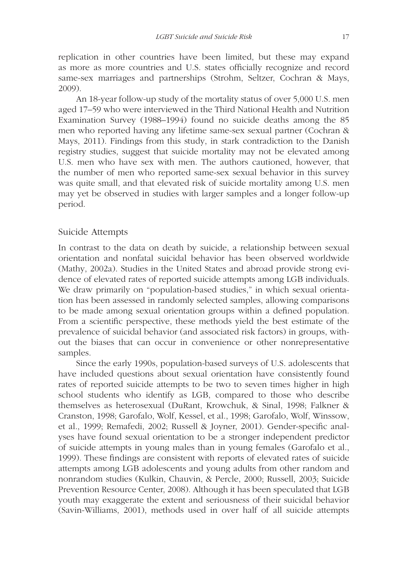replication in other countries have been limited, but these may expand as more as more countries and U.S. states officially recognize and record same-sex marriages and partnerships (Strohm, Seltzer, Cochran & Mays, 2009).

An 18-year follow-up study of the mortality status of over 5,000 U.S. men aged 17–59 who were interviewed in the Third National Health and Nutrition Examination Survey (1988–1994) found no suicide deaths among the 85 men who reported having any lifetime same-sex sexual partner (Cochran & Mays, 2011). Findings from this study, in stark contradiction to the Danish registry studies, suggest that suicide mortality may not be elevated among U.S. men who have sex with men. The authors cautioned, however, that the number of men who reported same-sex sexual behavior in this survey was quite small, and that elevated risk of suicide mortality among U.S. men may yet be observed in studies with larger samples and a longer follow-up period.

### Suicide Attempts

In contrast to the data on death by suicide, a relationship between sexual orientation and nonfatal suicidal behavior has been observed worldwide (Mathy, 2002a). Studies in the United States and abroad provide strong evidence of elevated rates of reported suicide attempts among LGB individuals. We draw primarily on "population-based studies," in which sexual orientation has been assessed in randomly selected samples, allowing comparisons to be made among sexual orientation groups within a defined population. From a scientific perspective, these methods yield the best estimate of the prevalence of suicidal behavior (and associated risk factors) in groups, without the biases that can occur in convenience or other nonrepresentative samples.

Since the early 1990s, population-based surveys of U.S. adolescents that have included questions about sexual orientation have consistently found rates of reported suicide attempts to be two to seven times higher in high school students who identify as LGB, compared to those who describe themselves as heterosexual (DuRant, Krowchuk, & Sinal, 1998; Falkner & Cranston, 1998; Garofalo, Wolf, Kessel, et al., 1998; Garofalo, Wolf, Winssow, et al., 1999; Remafedi, 2002; Russell & Joyner, 2001). Gender-specific analyses have found sexual orientation to be a stronger independent predictor of suicide attempts in young males than in young females (Garofalo et al., 1999). These findings are consistent with reports of elevated rates of suicide attempts among LGB adolescents and young adults from other random and nonrandom studies (Kulkin, Chauvin, & Percle, 2000; Russell, 2003; Suicide Prevention Resource Center, 2008). Although it has been speculated that LGB youth may exaggerate the extent and seriousness of their suicidal behavior (Savin-Williams, 2001), methods used in over half of all suicide attempts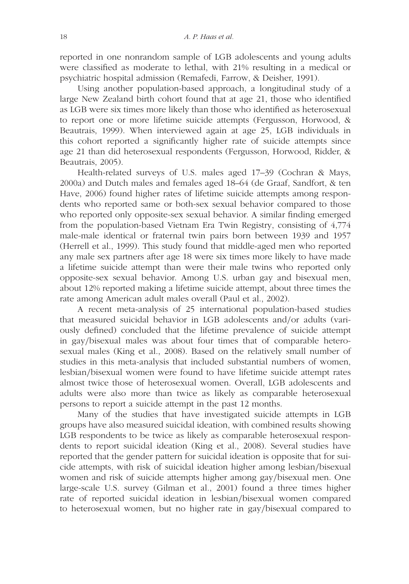reported in one nonrandom sample of LGB adolescents and young adults were classified as moderate to lethal, with 21% resulting in a medical or psychiatric hospital admission (Remafedi, Farrow, & Deisher, 1991).

Using another population-based approach, a longitudinal study of a large New Zealand birth cohort found that at age 21, those who identified as LGB were six times more likely than those who identified as heterosexual to report one or more lifetime suicide attempts (Fergusson, Horwood, & Beautrais, 1999). When interviewed again at age 25, LGB individuals in this cohort reported a significantly higher rate of suicide attempts since age 21 than did heterosexual respondents (Fergusson, Horwood, Ridder, & Beautrais, 2005).

Health-related surveys of U.S. males aged 17–39 (Cochran & Mays, 2000a) and Dutch males and females aged 18–64 (de Graaf, Sandfort, & ten Have, 2006) found higher rates of lifetime suicide attempts among respondents who reported same or both-sex sexual behavior compared to those who reported only opposite-sex sexual behavior. A similar finding emerged from the population-based Vietnam Era Twin Registry, consisting of 4,774 male-male identical or fraternal twin pairs born between 1939 and 1957 (Herrell et al., 1999). This study found that middle-aged men who reported any male sex partners after age 18 were six times more likely to have made a lifetime suicide attempt than were their male twins who reported only opposite-sex sexual behavior. Among U.S. urban gay and bisexual men, about 12% reported making a lifetime suicide attempt, about three times the rate among American adult males overall (Paul et al., 2002).

A recent meta-analysis of 25 international population-based studies that measured suicidal behavior in LGB adolescents and*/*or adults (variously defined) concluded that the lifetime prevalence of suicide attempt in gay*/*bisexual males was about four times that of comparable heterosexual males (King et al., 2008). Based on the relatively small number of studies in this meta-analysis that included substantial numbers of women, lesbian*/*bisexual women were found to have lifetime suicide attempt rates almost twice those of heterosexual women. Overall, LGB adolescents and adults were also more than twice as likely as comparable heterosexual persons to report a suicide attempt in the past 12 months.

Many of the studies that have investigated suicide attempts in LGB groups have also measured suicidal ideation, with combined results showing LGB respondents to be twice as likely as comparable heterosexual respondents to report suicidal ideation (King et al., 2008). Several studies have reported that the gender pattern for suicidal ideation is opposite that for suicide attempts, with risk of suicidal ideation higher among lesbian*/*bisexual women and risk of suicide attempts higher among gay*/*bisexual men. One large-scale U.S. survey (Gilman et al., 2001) found a three times higher rate of reported suicidal ideation in lesbian*/*bisexual women compared to heterosexual women, but no higher rate in gay*/*bisexual compared to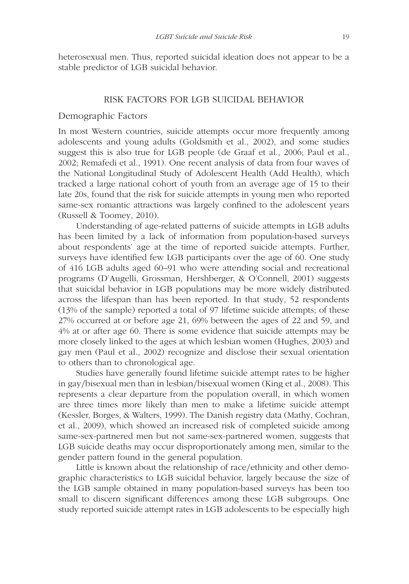heterosexual men. Thus, reported suicidal ideation does not appear to be a stable predictor of LGB suicidal behavior.

#### RISK FACTORS FOR LGB SUICIDAL BEHAVIOR

#### Demographic Factors

In most Western countries, suicide attempts occur more frequently among adolescents and young adults (Goldsmith et al., 2002), and some studies suggest this is also true for LGB people (de Graaf et al., 2006; Paul et al., 2002; Remafedi et al., 1991). One recent analysis of data from four waves of the National Longitudinal Study of Adolescent Health (Add Health), which tracked a large national cohort of youth from an average age of 15 to their late 20s, found that the risk for suicide attempts in young men who reported same-sex romantic attractions was largely confined to the adolescent years (Russell & Toomey, 2010).

Understanding of age-related patterns of suicide attempts in LGB adults has been limited by a lack of information from population-based surveys about respondents' age at the time of reported suicide attempts. Further, surveys have identified few LGB participants over the age of 60. One study of 416 LGB adults aged 60–91 who were attending social and recreational programs (D'Augelli, Grossman, Hershberger, & O'Connell, 2001) suggests that suicidal behavior in LGB populations may be more widely distributed across the lifespan than has been reported. In that study, 52 respondents (13% of the sample) reported a total of 97 lifetime suicide attempts; of these 27% occurred at or before age 21, 69% between the ages of 22 and 59, and 4% at or after age 60. There is some evidence that suicide attempts may be more closely linked to the ages at which lesbian women (Hughes, 2003) and gay men (Paul et al., 2002) recognize and disclose their sexual orientation to others than to chronological age.

Studies have generally found lifetime suicide attempt rates to be higher in gay*/*bisexual men than in lesbian*/*bisexual women (King et al., 2008). This represents a clear departure from the population overall, in which women are three times more likely than men to make a lifetime suicide attempt (Kessler, Borges, & Walters, 1999). The Danish registry data (Mathy, Cochran, et al., 2009), which showed an increased risk of completed suicide among same-sex-partnered men but not same-sex-partnered women, suggests that LGB suicide deaths may occur disproportionately among men, similar to the gender pattern found in the general population.

Little is known about the relationship of race*/*ethnicity and other demographic characteristics to LGB suicidal behavior, largely because the size of the LGB sample obtained in many population-based surveys has been too small to discern significant differences among these LGB subgroups. One study reported suicide attempt rates in LGB adolescents to be especially high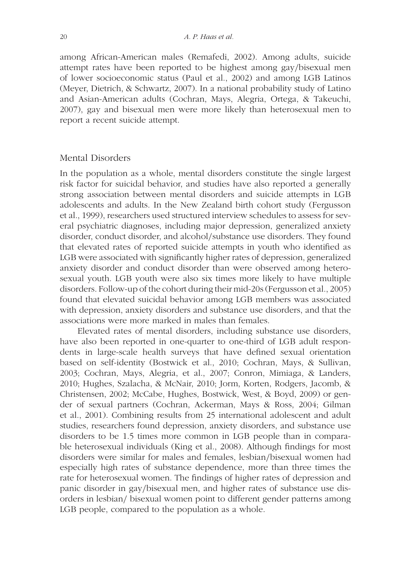among African-American males (Remafedi, 2002). Among adults, suicide attempt rates have been reported to be highest among gay*/*bisexual men of lower socioeconomic status (Paul et al., 2002) and among LGB Latinos (Meyer, Dietrich, & Schwartz, 2007). In a national probability study of Latino and Asian-American adults (Cochran, Mays, Alegria, Ortega, & Takeuchi, 2007), gay and bisexual men were more likely than heterosexual men to report a recent suicide attempt.

#### Mental Disorders

In the population as a whole, mental disorders constitute the single largest risk factor for suicidal behavior, and studies have also reported a generally strong association between mental disorders and suicide attempts in LGB adolescents and adults. In the New Zealand birth cohort study (Fergusson et al., 1999), researchers used structured interview schedules to assess for several psychiatric diagnoses, including major depression, generalized anxiety disorder, conduct disorder, and alcohol*/*substance use disorders. They found that elevated rates of reported suicide attempts in youth who identified as LGB were associated with significantly higher rates of depression, generalized anxiety disorder and conduct disorder than were observed among heterosexual youth. LGB youth were also six times more likely to have multiple disorders. Follow-up of the cohort during their mid-20s (Fergusson et al., 2005) found that elevated suicidal behavior among LGB members was associated with depression, anxiety disorders and substance use disorders, and that the associations were more marked in males than females.

Elevated rates of mental disorders, including substance use disorders, have also been reported in one-quarter to one-third of LGB adult respondents in large-scale health surveys that have defined sexual orientation based on self-identity (Bostwick et al., 2010; Cochran, Mays, & Sullivan, 2003; Cochran, Mays, Alegria, et al., 2007; Conron, Mimiaga, & Landers, 2010; Hughes, Szalacha, & McNair, 2010; Jorm, Korten, Rodgers, Jacomb, & Christensen, 2002; McCabe, Hughes, Bostwick, West, & Boyd, 2009) or gender of sexual partners (Cochran, Ackerman, Mays & Ross, 2004; Gilman et al., 2001). Combining results from 25 international adolescent and adult studies, researchers found depression, anxiety disorders, and substance use disorders to be 1.5 times more common in LGB people than in comparable heterosexual individuals (King et al., 2008). Although findings for most disorders were similar for males and females, lesbian*/*bisexual women had especially high rates of substance dependence, more than three times the rate for heterosexual women. The findings of higher rates of depression and panic disorder in gay*/*bisexual men, and higher rates of substance use disorders in lesbian*/* bisexual women point to different gender patterns among LGB people, compared to the population as a whole.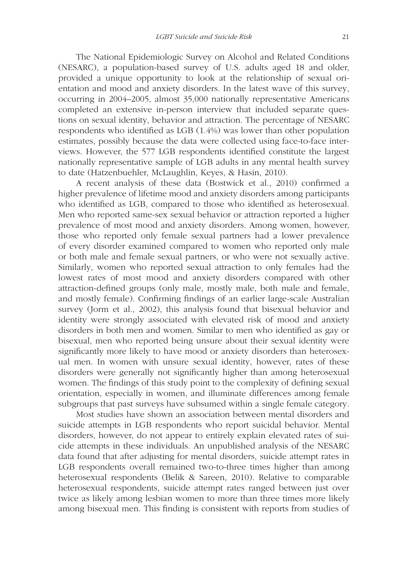The National Epidemiologic Survey on Alcohol and Related Conditions (NESARC), a population-based survey of U.S. adults aged 18 and older, provided a unique opportunity to look at the relationship of sexual orientation and mood and anxiety disorders. In the latest wave of this survey, occurring in 2004–2005, almost 35,000 nationally representative Americans completed an extensive in-person interview that included separate questions on sexual identity, behavior and attraction. The percentage of NESARC respondents who identified as LGB (1.4%) was lower than other population estimates, possibly because the data were collected using face-to-face interviews. However, the 577 LGB respondents identified constitute the largest nationally representative sample of LGB adults in any mental health survey to date (Hatzenbuehler, McLaughlin, Keyes, & Hasin, 2010).

A recent analysis of these data (Bostwick et al., 2010) confirmed a higher prevalence of lifetime mood and anxiety disorders among participants who identified as LGB, compared to those who identified as heterosexual. Men who reported same-sex sexual behavior or attraction reported a higher prevalence of most mood and anxiety disorders. Among women, however, those who reported only female sexual partners had a lower prevalence of every disorder examined compared to women who reported only male or both male and female sexual partners, or who were not sexually active. Similarly, women who reported sexual attraction to only females had the lowest rates of most mood and anxiety disorders compared with other attraction-defined groups (only male, mostly male, both male and female, and mostly female). Confirming findings of an earlier large-scale Australian survey (Jorm et al., 2002), this analysis found that bisexual behavior and identity were strongly associated with elevated risk of mood and anxiety disorders in both men and women. Similar to men who identified as gay or bisexual, men who reported being unsure about their sexual identity were significantly more likely to have mood or anxiety disorders than heterosexual men. In women with unsure sexual identity, however, rates of these disorders were generally not significantly higher than among heterosexual women. The findings of this study point to the complexity of defining sexual orientation, especially in women, and illuminate differences among female subgroups that past surveys have subsumed within a single female category.

Most studies have shown an association between mental disorders and suicide attempts in LGB respondents who report suicidal behavior. Mental disorders, however, do not appear to entirely explain elevated rates of suicide attempts in these individuals. An unpublished analysis of the NESARC data found that after adjusting for mental disorders, suicide attempt rates in LGB respondents overall remained two-to-three times higher than among heterosexual respondents (Belik & Sareen, 2010). Relative to comparable heterosexual respondents, suicide attempt rates ranged between just over twice as likely among lesbian women to more than three times more likely among bisexual men. This finding is consistent with reports from studies of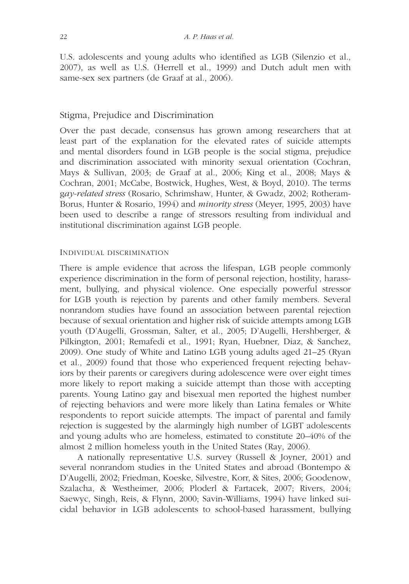U.S. adolescents and young adults who identified as LGB (Silenzio et al., 2007), as well as U.S. (Herrell et al., 1999) and Dutch adult men with same-sex sex partners (de Graaf at al., 2006).

#### Stigma, Prejudice and Discrimination

Over the past decade, consensus has grown among researchers that at least part of the explanation for the elevated rates of suicide attempts and mental disorders found in LGB people is the social stigma, prejudice and discrimination associated with minority sexual orientation (Cochran, Mays & Sullivan, 2003; de Graaf at al., 2006; King et al., 2008; Mays & Cochran, 2001; McCabe, Bostwick, Hughes, West, & Boyd, 2010). The terms g*ay-related stress* (Rosario, Schrimshaw, Hunter, & Gwadz, 2002; Rotheram-Borus, Hunter & Rosario, 1994) and *minority stress* (Meyer, 1995, 2003) have been used to describe a range of stressors resulting from individual and institutional discrimination against LGB people.

#### INDIVIDUAL DISCRIMINATION

There is ample evidence that across the lifespan, LGB people commonly experience discrimination in the form of personal rejection, hostility, harassment, bullying, and physical violence. One especially powerful stressor for LGB youth is rejection by parents and other family members. Several nonrandom studies have found an association between parental rejection because of sexual orientation and higher risk of suicide attempts among LGB youth (D'Augelli, Grossman, Salter, et al., 2005; D'Augelli, Hershberger, & Pilkington, 2001; Remafedi et al., 1991; Ryan, Huebner, Diaz, & Sanchez, 2009). One study of White and Latino LGB young adults aged 21–25 (Ryan et al., 2009) found that those who experienced frequent rejecting behaviors by their parents or caregivers during adolescence were over eight times more likely to report making a suicide attempt than those with accepting parents. Young Latino gay and bisexual men reported the highest number of rejecting behaviors and were more likely than Latina females or White respondents to report suicide attempts. The impact of parental and family rejection is suggested by the alarmingly high number of LGBT adolescents and young adults who are homeless, estimated to constitute 20–40% of the almost 2 million homeless youth in the United States (Ray, 2006).

A nationally representative U.S. survey (Russell & Joyner, 2001) and several nonrandom studies in the United States and abroad (Bontempo & D'Augelli, 2002; Friedman, Koeske, Silvestre, Korr, & Sites, 2006; Goodenow, Szalacha, & Westheimer, 2006; Ploderl & Fartacek, 2007; Rivers, 2004; Saewyc, Singh, Reis, & Flynn, 2000; Savin-Williams, 1994) have linked suicidal behavior in LGB adolescents to school-based harassment, bullying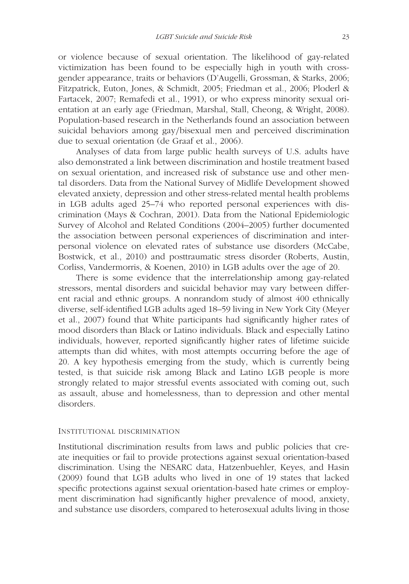or violence because of sexual orientation. The likelihood of gay-related victimization has been found to be especially high in youth with crossgender appearance, traits or behaviors (D'Augelli, Grossman, & Starks, 2006; Fitzpatrick, Euton, Jones, & Schmidt, 2005; Friedman et al., 2006; Ploderl & Fartacek, 2007; Remafedi et al., 1991), or who express minority sexual orientation at an early age (Friedman, Marshal, Stall, Cheong, & Wright, 2008). Population-based research in the Netherlands found an association between suicidal behaviors among gay*/*bisexual men and perceived discrimination due to sexual orientation (de Graaf et al., 2006).

Analyses of data from large public health surveys of U.S. adults have also demonstrated a link between discrimination and hostile treatment based on sexual orientation, and increased risk of substance use and other mental disorders. Data from the National Survey of Midlife Development showed elevated anxiety, depression and other stress-related mental health problems in LGB adults aged 25–74 who reported personal experiences with discrimination (Mays & Cochran, 2001). Data from the National Epidemiologic Survey of Alcohol and Related Conditions (2004–2005) further documented the association between personal experiences of discrimination and interpersonal violence on elevated rates of substance use disorders (McCabe, Bostwick, et al., 2010) and posttraumatic stress disorder (Roberts, Austin, Corliss, Vandermorris, & Koenen, 2010) in LGB adults over the age of 20.

There is some evidence that the interrelationship among gay-related stressors, mental disorders and suicidal behavior may vary between different racial and ethnic groups. A nonrandom study of almost 400 ethnically diverse, self-identified LGB adults aged 18–59 living in New York City (Meyer et al., 2007) found that White participants had significantly higher rates of mood disorders than Black or Latino individuals. Black and especially Latino individuals, however, reported significantly higher rates of lifetime suicide attempts than did whites, with most attempts occurring before the age of 20. A key hypothesis emerging from the study, which is currently being tested, is that suicide risk among Black and Latino LGB people is more strongly related to major stressful events associated with coming out, such as assault, abuse and homelessness, than to depression and other mental disorders.

#### INSTITUTIONAL DISCRIMINATION

Institutional discrimination results from laws and public policies that create inequities or fail to provide protections against sexual orientation-based discrimination. Using the NESARC data, Hatzenbuehler, Keyes, and Hasin (2009) found that LGB adults who lived in one of 19 states that lacked specific protections against sexual orientation-based hate crimes or employment discrimination had significantly higher prevalence of mood, anxiety, and substance use disorders, compared to heterosexual adults living in those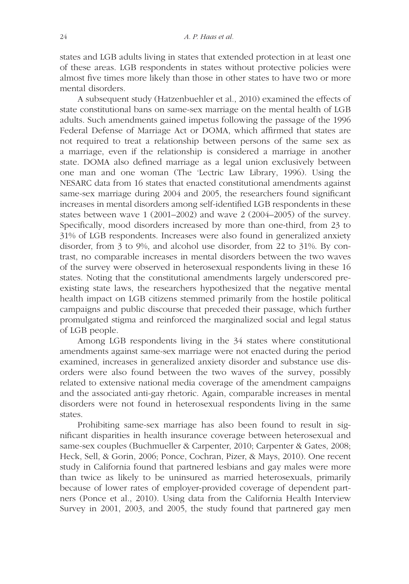states and LGB adults living in states that extended protection in at least one of these areas. LGB respondents in states without protective policies were almost five times more likely than those in other states to have two or more mental disorders.

A subsequent study (Hatzenbuehler et al., 2010) examined the effects of state constitutional bans on same-sex marriage on the mental health of LGB adults. Such amendments gained impetus following the passage of the 1996 Federal Defense of Marriage Act or DOMA, which affirmed that states are not required to treat a relationship between persons of the same sex as a marriage, even if the relationship is considered a marriage in another state. DOMA also defined marriage as a legal union exclusively between one man and one woman (The 'Lectric Law Library, 1996). Using the NESARC data from 16 states that enacted constitutional amendments against same-sex marriage during 2004 and 2005, the researchers found significant increases in mental disorders among self-identified LGB respondents in these states between wave 1 (2001–2002) and wave 2 (2004–2005) of the survey. Specifically, mood disorders increased by more than one-third, from 23 to 31% of LGB respondents. Increases were also found in generalized anxiety disorder, from 3 to 9%, and alcohol use disorder, from 22 to 31%. By contrast, no comparable increases in mental disorders between the two waves of the survey were observed in heterosexual respondents living in these 16 states. Noting that the constitutional amendments largely underscored preexisting state laws, the researchers hypothesized that the negative mental health impact on LGB citizens stemmed primarily from the hostile political campaigns and public discourse that preceded their passage, which further promulgated stigma and reinforced the marginalized social and legal status of LGB people.

Among LGB respondents living in the 34 states where constitutional amendments against same-sex marriage were not enacted during the period examined, increases in generalized anxiety disorder and substance use disorders were also found between the two waves of the survey, possibly related to extensive national media coverage of the amendment campaigns and the associated anti-gay rhetoric. Again, comparable increases in mental disorders were not found in heterosexual respondents living in the same states.

Prohibiting same-sex marriage has also been found to result in significant disparities in health insurance coverage between heterosexual and same-sex couples (Buchmueller & Carpenter, 2010; Carpenter & Gates, 2008; Heck, Sell, & Gorin, 2006; Ponce, Cochran, Pizer, & Mays, 2010). One recent study in California found that partnered lesbians and gay males were more than twice as likely to be uninsured as married heterosexuals, primarily because of lower rates of employer-provided coverage of dependent partners (Ponce et al., 2010). Using data from the California Health Interview Survey in 2001, 2003, and 2005, the study found that partnered gay men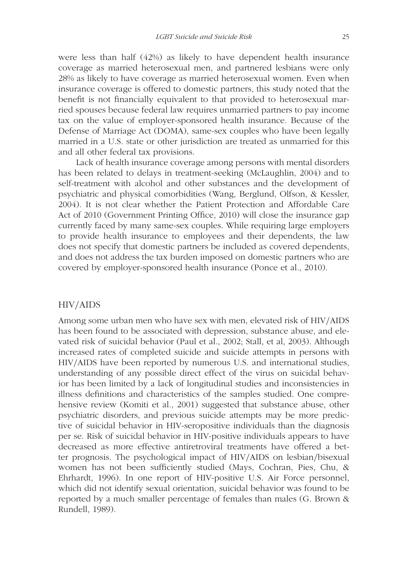were less than half (42%) as likely to have dependent health insurance coverage as married heterosexual men, and partnered lesbians were only 28% as likely to have coverage as married heterosexual women. Even when insurance coverage is offered to domestic partners, this study noted that the benefit is not financially equivalent to that provided to heterosexual married spouses because federal law requires unmarried partners to pay income tax on the value of employer-sponsored health insurance. Because of the Defense of Marriage Act (DOMA), same-sex couples who have been legally married in a U.S. state or other jurisdiction are treated as unmarried for this and all other federal tax provisions.

Lack of health insurance coverage among persons with mental disorders has been related to delays in treatment-seeking (McLaughlin, 2004) and to self-treatment with alcohol and other substances and the development of psychiatric and physical comorbidities (Wang, Berglund, Olfson, & Kessler, 2004). It is not clear whether the Patient Protection and Affordable Care Act of 2010 (Government Printing Office, 2010) will close the insurance gap currently faced by many same-sex couples. While requiring large employers to provide health insurance to employees and their dependents, the law does not specify that domestic partners be included as covered dependents, and does not address the tax burden imposed on domestic partners who are covered by employer-sponsored health insurance (Ponce et al., 2010).

#### HIV*/*AIDS

Among some urban men who have sex with men, elevated risk of HIV*/*AIDS has been found to be associated with depression, substance abuse, and elevated risk of suicidal behavior (Paul et al., 2002; Stall, et al, 2003). Although increased rates of completed suicide and suicide attempts in persons with HIV*/*AIDS have been reported by numerous U.S. and international studies, understanding of any possible direct effect of the virus on suicidal behavior has been limited by a lack of longitudinal studies and inconsistencies in illness definitions and characteristics of the samples studied. One comprehensive review (Komiti et al., 2001) suggested that substance abuse, other psychiatric disorders, and previous suicide attempts may be more predictive of suicidal behavior in HIV-seropositive individuals than the diagnosis per se. Risk of suicidal behavior in HIV-positive individuals appears to have decreased as more effective antiretroviral treatments have offered a better prognosis. The psychological impact of HIV*/*AIDS on lesbian*/*bisexual women has not been sufficiently studied (Mays, Cochran, Pies, Chu, & Ehrhardt, 1996). In one report of HIV-positive U.S. Air Force personnel, which did not identify sexual orientation, suicidal behavior was found to be reported by a much smaller percentage of females than males (G. Brown & Rundell, 1989).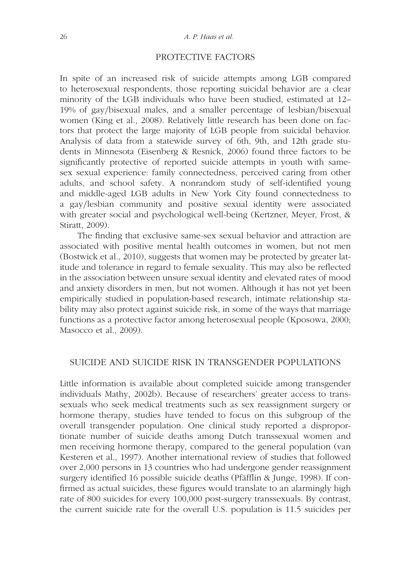#### PROTECTIVE FACTORS

In spite of an increased risk of suicide attempts among LGB compared to heterosexual respondents, those reporting suicidal behavior are a clear minority of the LGB individuals who have been studied, estimated at 12– 19% of gay*/*bisexual males, and a smaller percentage of lesbian*/*bisexual women (King et al., 2008). Relatively little research has been done on factors that protect the large majority of LGB people from suicidal behavior. Analysis of data from a statewide survey of 6th, 9th, and 12th grade students in Minnesota (Eisenberg & Resnick, 2006) found three factors to be significantly protective of reported suicide attempts in youth with samesex sexual experience: family connectedness, perceived caring from other adults, and school safety. A nonrandom study of self-identified young and middle-aged LGB adults in New York City found connectedness to a gay*/*lesbian community and positive sexual identity were associated with greater social and psychological well-being (Kertzner, Meyer, Frost, & Stiratt, 2009).

The finding that exclusive same-sex sexual behavior and attraction are associated with positive mental health outcomes in women, but not men (Bostwick et al., 2010), suggests that women may be protected by greater latitude and tolerance in regard to female sexuality. This may also be reflected in the association between unsure sexual identity and elevated rates of mood and anxiety disorders in men, but not women. Although it has not yet been empirically studied in population-based research, intimate relationship stability may also protect against suicide risk, in some of the ways that marriage functions as a protective factor among heterosexual people (Kposowa, 2000; Masocco et al., 2009).

# SUICIDE AND SUICIDE RISK IN TRANSGENDER POPULATIONS

Little information is available about completed suicide among transgender individuals Mathy, 2002b). Because of researchers' greater access to transsexuals who seek medical treatments such as sex reassignment surgery or hormone therapy, studies have tended to focus on this subgroup of the overall transgender population. One clinical study reported a disproportionate number of suicide deaths among Dutch transsexual women and men receiving hormone therapy, compared to the general population (van Kesteren et al., 1997). Another international review of studies that followed over 2,000 persons in 13 countries who had undergone gender reassignment surgery identified 16 possible suicide deaths (Pfäfflin & Junge, 1998). If confirmed as actual suicides, these figures would translate to an alarmingly high rate of 800 suicides for every 100,000 post-surgery transsexuals. By contrast, the current suicide rate for the overall U.S. population is 11.5 suicides per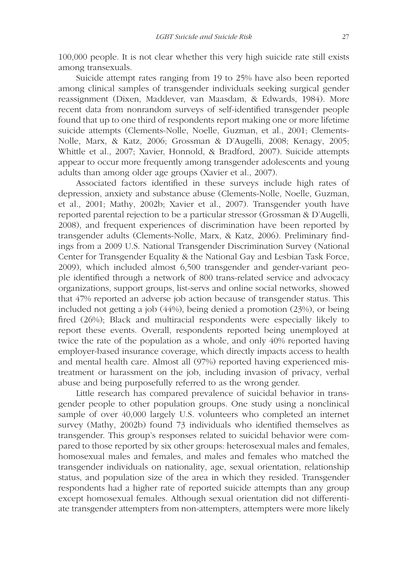100,000 people. It is not clear whether this very high suicide rate still exists among transexuals.

Suicide attempt rates ranging from 19 to 25% have also been reported among clinical samples of transgender individuals seeking surgical gender reassignment (Dixen, Maddever, van Maasdam, & Edwards, 1984). More recent data from nonrandom surveys of self-identified transgender people found that up to one third of respondents report making one or more lifetime suicide attempts (Clements-Nolle, Noelle, Guzman, et al., 2001; Clements-Nolle, Marx, & Katz, 2006; Grossman & D'Augelli, 2008; Kenagy, 2005; Whittle et al., 2007; Xavier, Honnold, & Bradford, 2007). Suicide attempts appear to occur more frequently among transgender adolescents and young adults than among older age groups (Xavier et al., 2007).

Associated factors identified in these surveys include high rates of depression, anxiety and substance abuse (Clements-Nolle, Noelle, Guzman, et al., 2001; Mathy, 2002b; Xavier et al., 2007). Transgender youth have reported parental rejection to be a particular stressor (Grossman & D'Augelli, 2008), and frequent experiences of discrimination have been reported by transgender adults (Clements-Nolle, Marx, & Katz, 2006). Preliminary findings from a 2009 U.S. National Transgender Discrimination Survey (National Center for Transgender Equality & the National Gay and Lesbian Task Force, 2009), which included almost 6,500 transgender and gender-variant people identified through a network of 800 trans-related service and advocacy organizations, support groups, list-servs and online social networks, showed that 47% reported an adverse job action because of transgender status. This included not getting a job (44%), being denied a promotion (23%), or being fired (26%); Black and multiracial respondents were especially likely to report these events. Overall, respondents reported being unemployed at twice the rate of the population as a whole, and only 40% reported having employer-based insurance coverage, which directly impacts access to health and mental health care. Almost all (97%) reported having experienced mistreatment or harassment on the job, including invasion of privacy, verbal abuse and being purposefully referred to as the wrong gender.

Little research has compared prevalence of suicidal behavior in transgender people to other population groups. One study using a nonclinical sample of over 40,000 largely U.S. volunteers who completed an internet survey (Mathy, 2002b) found 73 individuals who identified themselves as transgender. This group's responses related to suicidal behavior were compared to those reported by six other groups: heterosexual males and females, homosexual males and females, and males and females who matched the transgender individuals on nationality, age, sexual orientation, relationship status, and population size of the area in which they resided. Transgender respondents had a higher rate of reported suicide attempts than any group except homosexual females. Although sexual orientation did not differentiate transgender attempters from non-attempters, attempters were more likely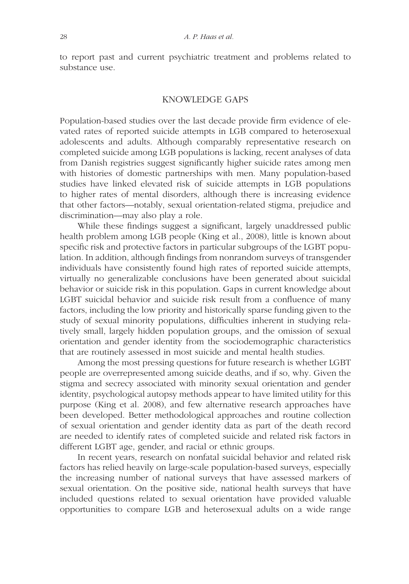to report past and current psychiatric treatment and problems related to substance use.

#### KNOWLEDGE GAPS

Population-based studies over the last decade provide firm evidence of elevated rates of reported suicide attempts in LGB compared to heterosexual adolescents and adults. Although comparably representative research on completed suicide among LGB populations is lacking, recent analyses of data from Danish registries suggest significantly higher suicide rates among men with histories of domestic partnerships with men. Many population-based studies have linked elevated risk of suicide attempts in LGB populations to higher rates of mental disorders, although there is increasing evidence that other factors—notably, sexual orientation-related stigma, prejudice and discrimination—may also play a role.

While these findings suggest a significant, largely unaddressed public health problem among LGB people (King et al., 2008), little is known about specific risk and protective factors in particular subgroups of the LGBT population. In addition, although findings from nonrandom surveys of transgender individuals have consistently found high rates of reported suicide attempts, virtually no generalizable conclusions have been generated about suicidal behavior or suicide risk in this population. Gaps in current knowledge about LGBT suicidal behavior and suicide risk result from a confluence of many factors, including the low priority and historically sparse funding given to the study of sexual minority populations, difficulties inherent in studying relatively small, largely hidden population groups, and the omission of sexual orientation and gender identity from the sociodemographic characteristics that are routinely assessed in most suicide and mental health studies.

Among the most pressing questions for future research is whether LGBT people are overrepresented among suicide deaths, and if so, why. Given the stigma and secrecy associated with minority sexual orientation and gender identity, psychological autopsy methods appear to have limited utility for this purpose (King et al. 2008), and few alternative research approaches have been developed. Better methodological approaches and routine collection of sexual orientation and gender identity data as part of the death record are needed to identify rates of completed suicide and related risk factors in different LGBT age, gender, and racial or ethnic groups.

In recent years, research on nonfatal suicidal behavior and related risk factors has relied heavily on large-scale population-based surveys, especially the increasing number of national surveys that have assessed markers of sexual orientation. On the positive side, national health surveys that have included questions related to sexual orientation have provided valuable opportunities to compare LGB and heterosexual adults on a wide range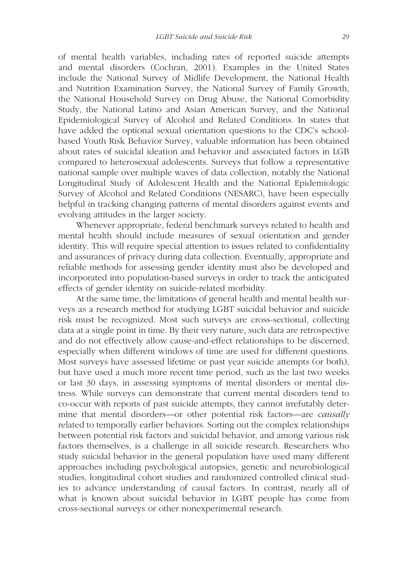of mental health variables, including rates of reported suicide attempts and mental disorders (Cochran, 2001). Examples in the United States include the National Survey of Midlife Development, the National Health and Nutrition Examination Survey, the National Survey of Family Growth, the National Household Survey on Drug Abuse, the National Comorbidity Study, the National Latino and Asian American Survey, and the National Epidemiological Survey of Alcohol and Related Conditions. In states that have added the optional sexual orientation questions to the CDC's schoolbased Youth Risk Behavior Survey, valuable information has been obtained about rates of suicidal ideation and behavior and associated factors in LGB compared to heterosexual adolescents. Surveys that follow a representative national sample over multiple waves of data collection, notably the National Longitudinal Study of Adolescent Health and the National Epidemiologic Survey of Alcohol and Related Conditions (NESARC), have been especially helpful in tracking changing patterns of mental disorders against events and evolving attitudes in the larger society.

Whenever appropriate, federal benchmark surveys related to health and mental health should include measures of sexual orientation and gender identity. This will require special attention to issues related to confidentiality and assurances of privacy during data collection. Eventually, appropriate and reliable methods for assessing gender identity must also be developed and incorporated into population-based surveys in order to track the anticipated effects of gender identity on suicide-related morbidity.

At the same time, the limitations of general health and mental health surveys as a research method for studying LGBT suicidal behavior and suicide risk must be recognized. Most such surveys are cross-sectional, collecting data at a single point in time. By their very nature, such data are retrospective and do not effectively allow cause-and-effect relationships to be discerned, especially when different windows of time are used for different questions. Most surveys have assessed lifetime or past year suicide attempts (or both), but have used a much more recent time period, such as the last two weeks or last 30 days, in assessing symptoms of mental disorders or mental distress. While surveys can demonstrate that current mental disorders tend to co-occur with reports of past suicide attempts, they cannot irrefutably determine that mental disorders—or other potential risk factors—are *causally* related to temporally earlier behaviors. Sorting out the complex relationships between potential risk factors and suicidal behavior, and among various risk factors themselves, is a challenge in all suicide research. Researchers who study suicidal behavior in the general population have used many different approaches including psychological autopsies, genetic and neurobiological studies, longitudinal cohort studies and randomized controlled clinical studies to advance understanding of causal factors. In contrast, nearly all of what is known about suicidal behavior in LGBT people has come from cross-sectional surveys or other nonexperimental research.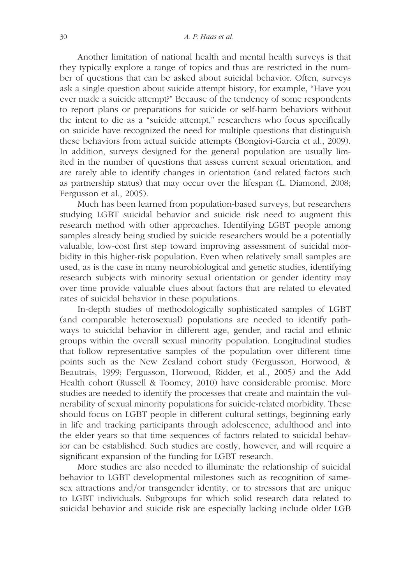Another limitation of national health and mental health surveys is that they typically explore a range of topics and thus are restricted in the number of questions that can be asked about suicidal behavior. Often, surveys ask a single question about suicide attempt history, for example, "Have you ever made a suicide attempt?" Because of the tendency of some respondents to report plans or preparations for suicide or self-harm behaviors without the intent to die as a "suicide attempt," researchers who focus specifically on suicide have recognized the need for multiple questions that distinguish these behaviors from actual suicide attempts (Bongiovi-Garcia et al., 2009). In addition, surveys designed for the general population are usually limited in the number of questions that assess current sexual orientation, and are rarely able to identify changes in orientation (and related factors such as partnership status) that may occur over the lifespan (L. Diamond, 2008; Fergusson et al., 2005).

Much has been learned from population-based surveys, but researchers studying LGBT suicidal behavior and suicide risk need to augment this research method with other approaches. Identifying LGBT people among samples already being studied by suicide researchers would be a potentially valuable, low-cost first step toward improving assessment of suicidal morbidity in this higher-risk population. Even when relatively small samples are used, as is the case in many neurobiological and genetic studies, identifying research subjects with minority sexual orientation or gender identity may over time provide valuable clues about factors that are related to elevated rates of suicidal behavior in these populations.

In-depth studies of methodologically sophisticated samples of LGBT (and comparable heterosexual) populations are needed to identify pathways to suicidal behavior in different age, gender, and racial and ethnic groups within the overall sexual minority population. Longitudinal studies that follow representative samples of the population over different time points such as the New Zealand cohort study (Fergusson, Horwood, & Beautrais, 1999; Fergusson, Horwood, Ridder, et al., 2005) and the Add Health cohort (Russell & Toomey, 2010) have considerable promise. More studies are needed to identify the processes that create and maintain the vulnerability of sexual minority populations for suicide-related morbidity. These should focus on LGBT people in different cultural settings, beginning early in life and tracking participants through adolescence, adulthood and into the elder years so that time sequences of factors related to suicidal behavior can be established. Such studies are costly, however, and will require a significant expansion of the funding for LGBT research.

More studies are also needed to illuminate the relationship of suicidal behavior to LGBT developmental milestones such as recognition of samesex attractions and*/*or transgender identity, or to stressors that are unique to LGBT individuals. Subgroups for which solid research data related to suicidal behavior and suicide risk are especially lacking include older LGB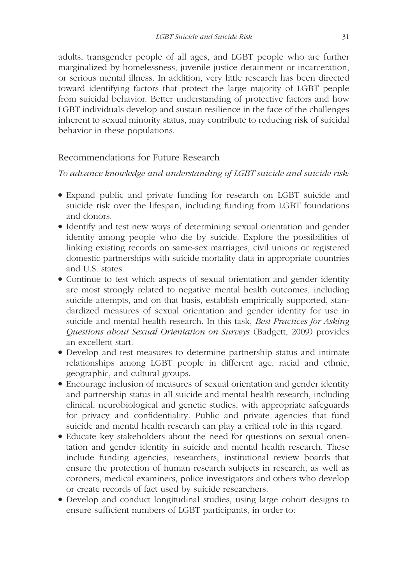adults, transgender people of all ages, and LGBT people who are further marginalized by homelessness, juvenile justice detainment or incarceration, or serious mental illness. In addition, very little research has been directed toward identifying factors that protect the large majority of LGBT people from suicidal behavior. Better understanding of protective factors and how LGBT individuals develop and sustain resilience in the face of the challenges inherent to sexual minority status, may contribute to reducing risk of suicidal behavior in these populations.

# Recommendations for Future Research

*To advance knowledge and understanding of LGBT suicide and suicide risk:*

- Expand public and private funding for research on LGBT suicide and suicide risk over the lifespan, including funding from LGBT foundations and donors.
- Identify and test new ways of determining sexual orientation and gender identity among people who die by suicide. Explore the possibilities of linking existing records on same-sex marriages, civil unions or registered domestic partnerships with suicide mortality data in appropriate countries and U.S. states.
- Continue to test which aspects of sexual orientation and gender identity are most strongly related to negative mental health outcomes, including suicide attempts, and on that basis, establish empirically supported, standardized measures of sexual orientation and gender identity for use in suicide and mental health research. In this task, *Best Practices for Asking Questions about Sexual Orientation on Surveys* (Badgett, 2009) provides an excellent start.
- Develop and test measures to determine partnership status and intimate relationships among LGBT people in different age, racial and ethnic, geographic, and cultural groups.
- Encourage inclusion of measures of sexual orientation and gender identity and partnership status in all suicide and mental health research, including clinical, neurobiological and genetic studies, with appropriate safeguards for privacy and confidentiality. Public and private agencies that fund suicide and mental health research can play a critical role in this regard.
- Educate key stakeholders about the need for questions on sexual orientation and gender identity in suicide and mental health research. These include funding agencies, researchers, institutional review boards that ensure the protection of human research subjects in research, as well as coroners, medical examiners, police investigators and others who develop or create records of fact used by suicide researchers.
- Develop and conduct longitudinal studies, using large cohort designs to ensure sufficient numbers of LGBT participants, in order to: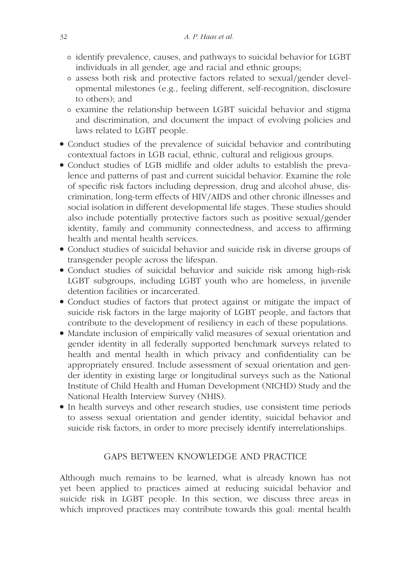- identify prevalence, causes, and pathways to suicidal behavior for LGBT individuals in all gender, age and racial and ethnic groups;
- assess both risk and protective factors related to sexual*/*gender developmental milestones (e.g., feeling different, self-recognition, disclosure to others); and
- examine the relationship between LGBT suicidal behavior and stigma and discrimination, and document the impact of evolving policies and laws related to LGBT people.
- Conduct studies of the prevalence of suicidal behavior and contributing contextual factors in LGB racial, ethnic, cultural and religious groups.
- Conduct studies of LGB midlife and older adults to establish the prevalence and patterns of past and current suicidal behavior. Examine the role of specific risk factors including depression, drug and alcohol abuse, discrimination, long-term effects of HIV*/*AIDS and other chronic illnesses and social isolation in different developmental life stages. These studies should also include potentially protective factors such as positive sexual*/*gender identity, family and community connectedness, and access to affirming health and mental health services.
- Conduct studies of suicidal behavior and suicide risk in diverse groups of transgender people across the lifespan.
- Conduct studies of suicidal behavior and suicide risk among high-risk LGBT subgroups, including LGBT youth who are homeless, in juvenile detention facilities or incarcerated.
- Conduct studies of factors that protect against or mitigate the impact of suicide risk factors in the large majority of LGBT people, and factors that contribute to the development of resiliency in each of these populations.
- Mandate inclusion of empirically valid measures of sexual orientation and gender identity in all federally supported benchmark surveys related to health and mental health in which privacy and confidentiality can be appropriately ensured. Include assessment of sexual orientation and gender identity in existing large or longitudinal surveys such as the National Institute of Child Health and Human Development (NICHD) Study and the National Health Interview Survey (NHIS).
- In health surveys and other research studies, use consistent time periods to assess sexual orientation and gender identity, suicidal behavior and suicide risk factors, in order to more precisely identify interrelationships.

# GAPS BETWEEN KNOWLEDGE AND PRACTICE

Although much remains to be learned, what is already known has not yet been applied to practices aimed at reducing suicidal behavior and suicide risk in LGBT people. In this section, we discuss three areas in which improved practices may contribute towards this goal: mental health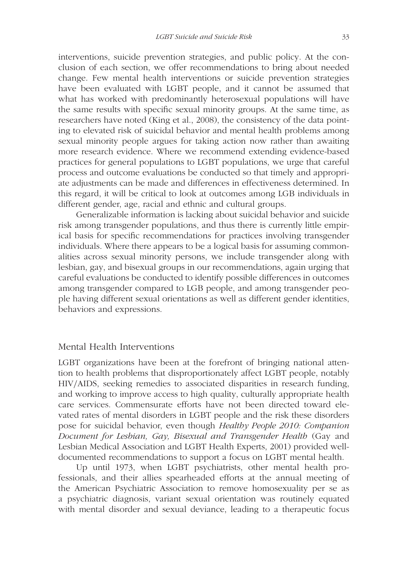interventions, suicide prevention strategies, and public policy. At the conclusion of each section, we offer recommendations to bring about needed change. Few mental health interventions or suicide prevention strategies have been evaluated with LGBT people, and it cannot be assumed that what has worked with predominantly heterosexual populations will have the same results with specific sexual minority groups. At the same time, as researchers have noted (King et al., 2008), the consistency of the data pointing to elevated risk of suicidal behavior and mental health problems among sexual minority people argues for taking action now rather than awaiting more research evidence. Where we recommend extending evidence-based practices for general populations to LGBT populations, we urge that careful process and outcome evaluations be conducted so that timely and appropriate adjustments can be made and differences in effectiveness determined. In this regard, it will be critical to look at outcomes among LGB individuals in different gender, age, racial and ethnic and cultural groups.

Generalizable information is lacking about suicidal behavior and suicide risk among transgender populations, and thus there is currently little empirical basis for specific recommendations for practices involving transgender individuals. Where there appears to be a logical basis for assuming commonalities across sexual minority persons, we include transgender along with lesbian, gay, and bisexual groups in our recommendations, again urging that careful evaluations be conducted to identify possible differences in outcomes among transgender compared to LGB people, and among transgender people having different sexual orientations as well as different gender identities, behaviors and expressions.

#### Mental Health Interventions

LGBT organizations have been at the forefront of bringing national attention to health problems that disproportionately affect LGBT people, notably HIV*/*AIDS, seeking remedies to associated disparities in research funding, and working to improve access to high quality, culturally appropriate health care services. Commensurate efforts have not been directed toward elevated rates of mental disorders in LGBT people and the risk these disorders pose for suicidal behavior, even though *Healthy People 2010: Companion Document for Lesbian, Gay, Bisexual and Transgender Health* (Gay and Lesbian Medical Association and LGBT Health Experts, 2001) provided welldocumented recommendations to support a focus on LGBT mental health.

Up until 1973, when LGBT psychiatrists, other mental health professionals, and their allies spearheaded efforts at the annual meeting of the American Psychiatric Association to remove homosexuality per se as a psychiatric diagnosis, variant sexual orientation was routinely equated with mental disorder and sexual deviance, leading to a therapeutic focus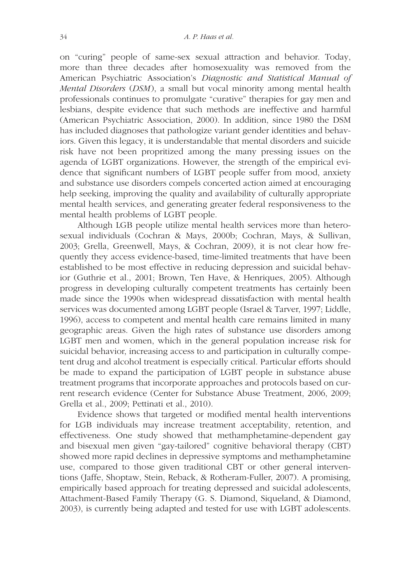on "curing" people of same-sex sexual attraction and behavior. Today, more than three decades after homosexuality was removed from the American Psychiatric Association's *Diagnostic and Statistical Manual of Mental Disorders* (*DSM*), a small but vocal minority among mental health professionals continues to promulgate "curative" therapies for gay men and lesbians, despite evidence that such methods are ineffective and harmful (American Psychiatric Association, 2000). In addition, since 1980 the DSM has included diagnoses that pathologize variant gender identities and behaviors. Given this legacy, it is understandable that mental disorders and suicide risk have not been propritized among the many pressing issues on the agenda of LGBT organizations. However, the strength of the empirical evidence that significant numbers of LGBT people suffer from mood, anxiety and substance use disorders compels concerted action aimed at encouraging help seeking, improving the quality and availability of culturally appropriate mental health services, and generating greater federal responsiveness to the mental health problems of LGBT people.

Although LGB people utilize mental health services more than heterosexual individuals (Cochran & Mays, 2000b; Cochran, Mays, & Sullivan, 2003; Grella, Greenwell, Mays, & Cochran, 2009), it is not clear how frequently they access evidence-based, time-limited treatments that have been established to be most effective in reducing depression and suicidal behavior (Guthrie et al., 2001; Brown, Ten Have, & Henriques, 2005). Although progress in developing culturally competent treatments has certainly been made since the 1990s when widespread dissatisfaction with mental health services was documented among LGBT people (Israel & Tarver, 1997; Liddle, 1996), access to competent and mental health care remains limited in many geographic areas. Given the high rates of substance use disorders among LGBT men and women, which in the general population increase risk for suicidal behavior, increasing access to and participation in culturally competent drug and alcohol treatment is especially critical. Particular efforts should be made to expand the participation of LGBT people in substance abuse treatment programs that incorporate approaches and protocols based on current research evidence (Center for Substance Abuse Treatment, 2006, 2009; Grella et al., 2009; Pettinati et al., 2010).

Evidence shows that targeted or modified mental health interventions for LGB individuals may increase treatment acceptability, retention, and effectiveness. One study showed that methamphetamine-dependent gay and bisexual men given "gay-tailored" cognitive behavioral therapy (CBT) showed more rapid declines in depressive symptoms and methamphetamine use, compared to those given traditional CBT or other general interventions (Jaffe, Shoptaw, Stein, Reback, & Rotheram-Fuller, 2007). A promising, empirically based approach for treating depressed and suicidal adolescents, Attachment-Based Family Therapy (G. S. Diamond, Siqueland, & Diamond, 2003), is currently being adapted and tested for use with LGBT adolescents.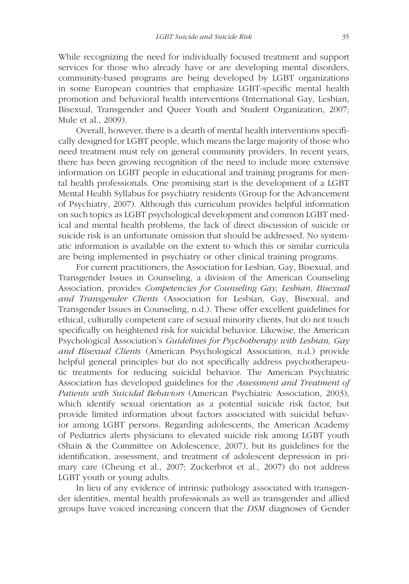While recognizing the need for individually focused treatment and support services for those who already have or are developing mental disorders, community-based programs are being developed by LGBT organizations in some European countries that emphasize LGBT-specific mental health promotion and behavioral health interventions (International Gay, Lesbian, Bisexual, Transgender and Queer Youth and Student Organization, 2007; Mule et al., 2009).

Overall, however, there is a dearth of mental health interventions specifically designed for LGBT people, which means the large majority of those who need treatment must rely on general community providers. In recent years, there has been growing recognition of the need to include more extensive information on LGBT people in educational and training programs for mental health professionals. One promising start is the development of a LGBT Mental Health Syllabus for psychiatry residents (Group for the Advancement of Psychiatry, 2007). Although this curriculum provides helpful information on such topics as LGBT psychological development and common LGBT medical and mental health problems, the lack of direct discussion of suicide or suicide risk is an unfortunate omission that should be addressed. No systematic information is available on the extent to which this or similar curricula are being implemented in psychiatry or other clinical training programs.

For current practitioners, the Association for Lesbian, Gay, Bisexual, and Transgender Issues in Counseling, a division of the American Counseling Association, provides *Competencies for Counseling Gay, Lesbian, Bisexual and Transgender Clients* (Association for Lesbian, Gay, Bisexual, and Transgender Issues in Counseling, n.d.). These offer excellent guidelines for ethical, culturally competent care of sexual minority clients, but do not touch specifically on heightened risk for suicidal behavior. Likewise, the American Psychological Association's *Guidelines for Psychotherapy with Lesbian, Gay and Bisexual Clients* (American Psychological Association, n.d.) provide helpful general principles but do not specifically address psychotherapeutic treatments for reducing suicidal behavior. The American Psychiatric Association has developed guidelines for the *Assessment and Treatment of Patients with Suicidal Behaviors* (American Psychiatric Association, 2003), which identify sexual orientation as a potential suicide risk factor, but provide limited information about factors associated with suicidal behavior among LGBT persons. Regarding adolescents, the American Academy of Pediatrics alerts physicians to elevated suicide risk among LGBT youth (Shain & the Committee on Adolescence, 2007), but its guidelines for the identification, assessment, and treatment of adolescent depression in primary care (Cheung et al., 2007; Zuckerbrot et al., 2007) do not address LGBT youth or young adults.

In lieu of any evidence of intrinsic pathology associated with transgender identities, mental health professionals as well as transgender and allied groups have voiced increasing concern that the *DSM* diagnoses of Gender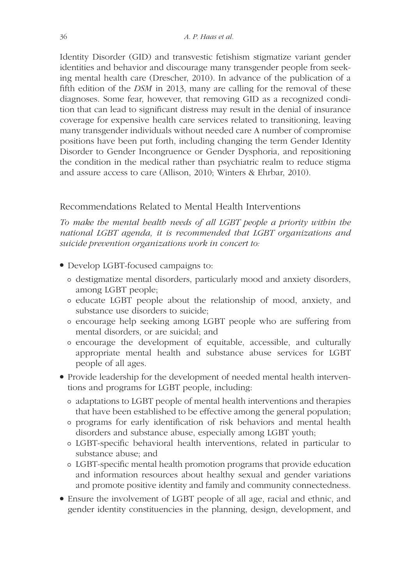Identity Disorder (GID) and transvestic fetishism stigmatize variant gender identities and behavior and discourage many transgender people from seeking mental health care (Drescher, 2010). In advance of the publication of a fifth edition of the *DSM* in 2013, many are calling for the removal of these diagnoses. Some fear, however, that removing GID as a recognized condition that can lead to significant distress may result in the denial of insurance coverage for expensive health care services related to transitioning, leaving many transgender individuals without needed care A number of compromise positions have been put forth, including changing the term Gender Identity Disorder to Gender Incongruence or Gender Dysphoria, and repositioning the condition in the medical rather than psychiatric realm to reduce stigma and assure access to care (Allison, 2010; Winters & Ehrbar, 2010).

# Recommendations Related to Mental Health Interventions

*To make the mental health needs of all LGBT people a priority within the national LGBT agenda, it is recommended that LGBT organizations and suicide prevention organizations work in concert to:*

- Develop LGBT-focused campaigns to:
	- destigmatize mental disorders, particularly mood and anxiety disorders, among LGBT people;
	- educate LGBT people about the relationship of mood, anxiety, and substance use disorders to suicide;
	- encourage help seeking among LGBT people who are suffering from mental disorders, or are suicidal; and
	- encourage the development of equitable, accessible, and culturally appropriate mental health and substance abuse services for LGBT people of all ages.
- Provide leadership for the development of needed mental health interventions and programs for LGBT people, including:
	- adaptations to LGBT people of mental health interventions and therapies that have been established to be effective among the general population;
	- programs for early identification of risk behaviors and mental health disorders and substance abuse, especially among LGBT youth;
	- LGBT-specific behavioral health interventions, related in particular to substance abuse; and
	- LGBT-specific mental health promotion programs that provide education and information resources about healthy sexual and gender variations and promote positive identity and family and community connectedness.
- Ensure the involvement of LGBT people of all age, racial and ethnic, and gender identity constituencies in the planning, design, development, and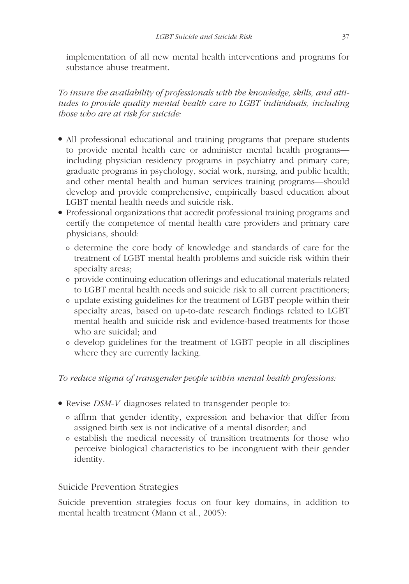implementation of all new mental health interventions and programs for substance abuse treatment.

*To insure the availability of professionals with the knowledge, skills, and attitudes to provide quality mental health care to LGBT individuals, including those who are at risk for suicide:*

- All professional educational and training programs that prepare students to provide mental health care or administer mental health programs including physician residency programs in psychiatry and primary care; graduate programs in psychology, social work, nursing, and public health; and other mental health and human services training programs—should develop and provide comprehensive, empirically based education about LGBT mental health needs and suicide risk.
- Professional organizations that accredit professional training programs and certify the competence of mental health care providers and primary care physicians, should:
	- determine the core body of knowledge and standards of care for the treatment of LGBT mental health problems and suicide risk within their specialty areas;
	- provide continuing education offerings and educational materials related to LGBT mental health needs and suicide risk to all current practitioners;
	- update existing guidelines for the treatment of LGBT people within their specialty areas, based on up-to-date research findings related to LGBT mental health and suicide risk and evidence-based treatments for those who are suicidal; and
	- develop guidelines for the treatment of LGBT people in all disciplines where they are currently lacking.

*To reduce stigma of transgender people within mental health professions:*

- Revise *DSM-V* diagnoses related to transgender people to:
	- affirm that gender identity, expression and behavior that differ from assigned birth sex is not indicative of a mental disorder; and
	- establish the medical necessity of transition treatments for those who perceive biological characteristics to be incongruent with their gender identity.

# Suicide Prevention Strategies

Suicide prevention strategies focus on four key domains, in addition to mental health treatment (Mann et al., 2005):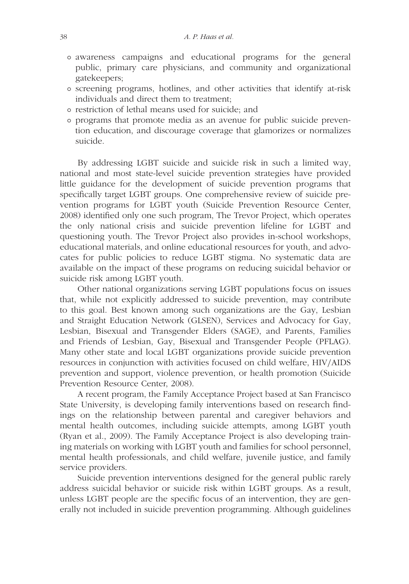- awareness campaigns and educational programs for the general public, primary care physicians, and community and organizational gatekeepers;
- screening programs, hotlines, and other activities that identify at-risk individuals and direct them to treatment;
- restriction of lethal means used for suicide; and
- programs that promote media as an avenue for public suicide prevention education, and discourage coverage that glamorizes or normalizes suicide.

By addressing LGBT suicide and suicide risk in such a limited way, national and most state-level suicide prevention strategies have provided little guidance for the development of suicide prevention programs that specifically target LGBT groups. One comprehensive review of suicide prevention programs for LGBT youth (Suicide Prevention Resource Center, 2008) identified only one such program, The Trevor Project, which operates the only national crisis and suicide prevention lifeline for LGBT and questioning youth. The Trevor Project also provides in-school workshops, educational materials, and online educational resources for youth, and advocates for public policies to reduce LGBT stigma. No systematic data are available on the impact of these programs on reducing suicidal behavior or suicide risk among LGBT youth.

Other national organizations serving LGBT populations focus on issues that, while not explicitly addressed to suicide prevention, may contribute to this goal. Best known among such organizations are the Gay, Lesbian and Straight Education Network (GLSEN), Services and Advocacy for Gay, Lesbian, Bisexual and Transgender Elders (SAGE), and Parents, Families and Friends of Lesbian, Gay, Bisexual and Transgender People (PFLAG). Many other state and local LGBT organizations provide suicide prevention resources in conjunction with activities focused on child welfare, HIV*/*AIDS prevention and support, violence prevention, or health promotion (Suicide Prevention Resource Center, 2008).

A recent program, the Family Acceptance Project based at San Francisco State University, is developing family interventions based on research findings on the relationship between parental and caregiver behaviors and mental health outcomes, including suicide attempts, among LGBT youth (Ryan et al., 2009). The Family Acceptance Project is also developing training materials on working with LGBT youth and families for school personnel, mental health professionals, and child welfare, juvenile justice, and family service providers.

Suicide prevention interventions designed for the general public rarely address suicidal behavior or suicide risk within LGBT groups. As a result, unless LGBT people are the specific focus of an intervention, they are generally not included in suicide prevention programming. Although guidelines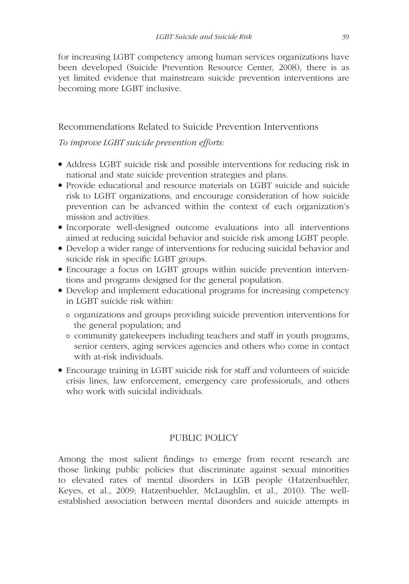for increasing LGBT competency among human services organizations have been developed (Suicide Prevention Resource Center, 2008), there is as yet limited evidence that mainstream suicide prevention interventions are becoming more LGBT inclusive.

Recommendations Related to Suicide Prevention Interventions

*To improve LGBT suicide prevention efforts:*

- Address LGBT suicide risk and possible interventions for reducing risk in national and state suicide prevention strategies and plans.
- Provide educational and resource materials on LGBT suicide and suicide risk to LGBT organizations, and encourage consideration of how suicide prevention can be advanced within the context of each organization's mission and activities.
- Incorporate well-designed outcome evaluations into all interventions aimed at reducing suicidal behavior and suicide risk among LGBT people.
- Develop a wider range of interventions for reducing suicidal behavior and suicide risk in specific LGBT groups.
- Encourage a focus on LGBT groups within suicide prevention interventions and programs designed for the general population.
- Develop and implement educational programs for increasing competency in LGBT suicide risk within:
	- organizations and groups providing suicide prevention interventions for the general population; and
	- community gatekeepers including teachers and staff in youth programs, senior centers, aging services agencies and others who come in contact with at-risk individuals.
- Encourage training in LGBT suicide risk for staff and volunteers of suicide crisis lines, law enforcement, emergency care professionals, and others who work with suicidal individuals.

#### PUBLIC POLICY

Among the most salient findings to emerge from recent research are those linking public policies that discriminate against sexual minorities to elevated rates of mental disorders in LGB people (Hatzenbuehler, Keyes, et al., 2009; Hatzenbuehler, McLaughlin, et al., 2010). The wellestablished association between mental disorders and suicide attempts in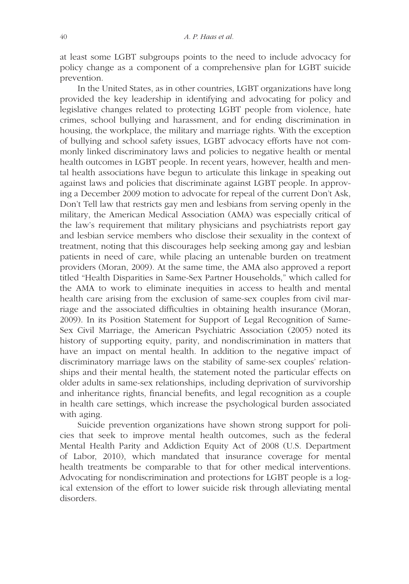at least some LGBT subgroups points to the need to include advocacy for policy change as a component of a comprehensive plan for LGBT suicide prevention.

In the United States, as in other countries, LGBT organizations have long provided the key leadership in identifying and advocating for policy and legislative changes related to protecting LGBT people from violence, hate crimes, school bullying and harassment, and for ending discrimination in housing, the workplace, the military and marriage rights. With the exception of bullying and school safety issues, LGBT advocacy efforts have not commonly linked discriminatory laws and policies to negative health or mental health outcomes in LGBT people. In recent years, however, health and mental health associations have begun to articulate this linkage in speaking out against laws and policies that discriminate against LGBT people. In approving a December 2009 motion to advocate for repeal of the current Don't Ask, Don't Tell law that restricts gay men and lesbians from serving openly in the military, the American Medical Association (AMA) was especially critical of the law's requirement that military physicians and psychiatrists report gay and lesbian service members who disclose their sexuality in the context of treatment, noting that this discourages help seeking among gay and lesbian patients in need of care, while placing an untenable burden on treatment providers (Moran, 2009). At the same time, the AMA also approved a report titled "Health Disparities in Same-Sex Partner Households," which called for the AMA to work to eliminate inequities in access to health and mental health care arising from the exclusion of same-sex couples from civil marriage and the associated difficulties in obtaining health insurance (Moran, 2009). In its Position Statement for Support of Legal Recognition of Same-Sex Civil Marriage, the American Psychiatric Association (2005) noted its history of supporting equity, parity, and nondiscrimination in matters that have an impact on mental health. In addition to the negative impact of discriminatory marriage laws on the stability of same-sex couples' relationships and their mental health, the statement noted the particular effects on older adults in same-sex relationships, including deprivation of survivorship and inheritance rights, financial benefits, and legal recognition as a couple in health care settings, which increase the psychological burden associated with aging.

Suicide prevention organizations have shown strong support for policies that seek to improve mental health outcomes, such as the federal Mental Health Parity and Addiction Equity Act of 2008 (U.S. Department of Labor, 2010), which mandated that insurance coverage for mental health treatments be comparable to that for other medical interventions. Advocating for nondiscrimination and protections for LGBT people is a logical extension of the effort to lower suicide risk through alleviating mental disorders.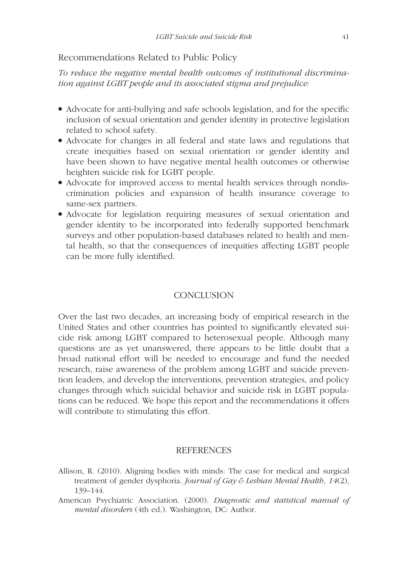# Recommendations Related to Public Policy

*To reduce the negative mental health outcomes of institutional discrimination against LGBT people and its associated stigma and prejudice:*

- Advocate for anti-bullying and safe schools legislation, and for the specific inclusion of sexual orientation and gender identity in protective legislation related to school safety.
- Advocate for changes in all federal and state laws and regulations that create inequities based on sexual orientation or gender identity and have been shown to have negative mental health outcomes or otherwise heighten suicide risk for LGBT people.
- Advocate for improved access to mental health services through nondiscrimination policies and expansion of health insurance coverage to same-sex partners.
- Advocate for legislation requiring measures of sexual orientation and gender identity to be incorporated into federally supported benchmark surveys and other population-based databases related to health and mental health, so that the consequences of inequities affecting LGBT people can be more fully identified.

# **CONCLUSION**

Over the last two decades, an increasing body of empirical research in the United States and other countries has pointed to significantly elevated suicide risk among LGBT compared to heterosexual people. Although many questions are as yet unanswered, there appears to be little doubt that a broad national effort will be needed to encourage and fund the needed research, raise awareness of the problem among LGBT and suicide prevention leaders, and develop the interventions, prevention strategies, and policy changes through which suicidal behavior and suicide risk in LGBT populations can be reduced. We hope this report and the recommendations it offers will contribute to stimulating this effort.

#### **REFERENCES**

- Allison, R. (2010). Aligning bodies with minds: The case for medical and surgical treatment of gender dysphoria. *Journal of Gay & Lesbian Mental Health*, *14*(2), 139–144.
- American Psychiatric Association. (2000). *Diagnostic and statistical manual of mental disorders* (4th ed.). Washington, DC: Author.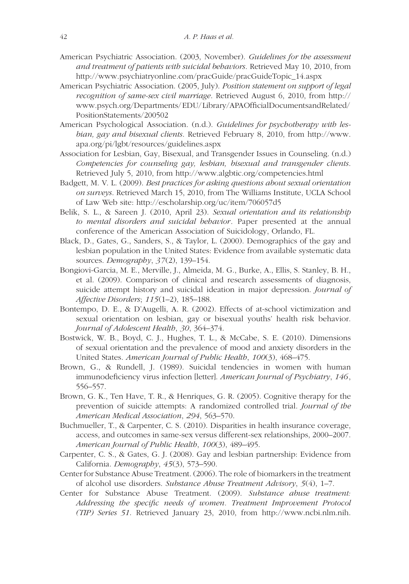- American Psychiatric Association. (2003, November). *Guidelines for the assessment and treatment of patients with suicidal behaviors*. Retrieved May 10, 2010, from http://www.psychiatryonline.com/pracGuide/pracGuideTopic\_14.aspx
- American Psychiatric Association. (2005, July). *Position statement on support of legal recognition of same-sex civil marriage*. Retrieved August 6, 2010, from http:// www.psych.org/Departments/EDU/Library/APAOfficialDocumentsandRelated/ PositionStatements/200502
- American Psychological Association. (n.d.). *Guidelines for psychotherapy with lesbian, gay and bisexual clients*. Retrieved February 8, 2010, from http://www. apa.org/pi/lgbt/resources/guidelines.aspx
- Association for Lesbian, Gay, Bisexual, and Transgender Issues in Counseling. (n.d.) *Competencies for counseling gay, lesbian, bisexual and transgender clients*. Retrieved July 5, 2010, from http://www.algbtic.org/competencies.html
- Badgett, M. V. L. (2009). *Best practices for asking questions about sexual orientation on surveys*. Retrieved March 15, 2010, from The Williams Institute, UCLA School of Law Web site: http://escholarship.org/uc/item/706057d5
- Belik, S. L., & Sareen J. (2010, April 23). *Sexual orientation and its relationship to mental disorders and suicidal behavior*. Paper presented at the annual conference of the American Association of Suicidology, Orlando, FL.
- Black, D., Gates, G., Sanders, S., & Taylor, L. (2000). Demographics of the gay and lesbian population in the United States: Evidence from available systematic data sources. *Demography*, *37*(2), 139–154.
- Bongiovi-Garcia, M. E., Merville, J., Almeida, M. G., Burke, A., Ellis, S. Stanley, B. H., et al. (2009). Comparison of clinical and research assessments of diagnosis, suicide attempt history and suicidal ideation in major depression. *Journal of Affective Disorders*; *115*(1–2), 185–188.
- Bontempo, D. E., & D'Augelli, A. R. (2002). Effects of at-school victimization and sexual orientation on lesbian, gay or bisexual youths' health risk behavior. *Journal of Adolescent Health*, *30*, 364–374.
- Bostwick, W. B., Boyd, C. J., Hughes, T. L., & McCabe, S. E. (2010). Dimensions of sexual orientation and the prevalence of mood and anxiety disorders in the United States. *American Journal of Public Health*, *100*(3), 468–475.
- Brown, G., & Rundell, J. (1989). Suicidal tendencies in women with human immunodeficiency virus infection [letter]. *American Journal of Psychiatry*, *146*, 556–557.
- Brown, G. K., Ten Have, T. R., & Henriques, G. R. (2005). Cognitive therapy for the prevention of suicide attempts: A randomized controlled trial. *Journal of the American Medical Association*, *294*, 563–570.
- Buchmueller, T., & Carpenter, C. S. (2010). Disparities in health insurance coverage, access, and outcomes in same-sex versus different-sex relationships, 2000–2007. *American Journal of Public Health*, *100*(3), 489–495.
- Carpenter, C. S., & Gates, G. J. (2008). Gay and lesbian partnership: Evidence from California. *Demography*, *45*(3), 573–590.
- Center for Substance Abuse Treatment. (2006). The role of biomarkers in the treatment of alcohol use disorders. *Substance Abuse Treatment Advisory*, *5*(4), 1–7.
- Center for Substance Abuse Treatment. (2009). *Substance abuse treatment: Addressing the specific needs of women. Treatment Improvement Protocol (TIP) Series 51*. Retrieved January 23, 2010, from http://www.ncbi.nlm.nih.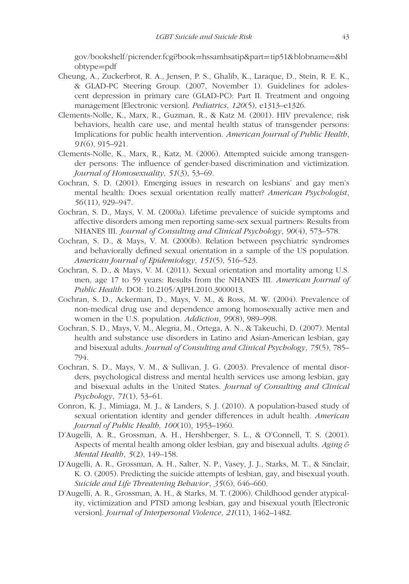gov/bookshelf/picrender.fcgi?book=hssamhsatip&part=tip51&blobname=&bl obtype=pdf

- Cheung, A., Zuckerbrot, R. A., Jensen, P. S., Ghalib, K., Laraque, D., Stein, R. E. K., & GLAD-PC Steering Group. (2007, November 1). Guidelines for adolescent depression in primary care (GLAD-PC): Part II. Treatment and ongoing management [Electronic version]. *Pediatrics*, *120*(5), e1313–e1326.
- Clements-Nolle, K., Marx, R., Guzman, R., & Katz M. (2001). HIV prevalence, risk behaviors, health care use, and mental health status of transgender persons: Implications for public health intervention. *American Journal of Public Health*, *91*(6), 915–921.
- Clements-Nolle, K., Marx, R., Katz, M. (2006). Attempted suicide among transgender persons: The influence of gender-based discrimination and victimization. *Journal of Homosexuality*, *51*(3), 53–69.
- Cochran, S. D. (2001). Emerging issues in research on lesbians' and gay men's mental health: Does sexual orientation really matter? *American Psychologist*, *56*(11), 929–947.
- Cochran, S. D., Mays, V. M. (2000a). Lifetime prevalence of suicide symptoms and affective disorders among men reporting same-sex sexual partners: Results from NHANES III. *Journal of Consulting and Clinical Psychology*, *90*(4), 573–578.
- Cochran, S. D., & Mays, V. M. (2000b). Relation between psychiatric syndromes and behaviorally defined sexual orientation in a sample of the US population. *American Journal of Epidemiology*, *151*(5), 516–523.
- Cochran, S. D., & Mays, V. M. (2011). Sexual orientation and mortality among U.S. men, age 17 to 59 years: Results from the NHANES III. *American Journal of Public Health.* DOI: 10.2105/AJPH.2010.3000013.
- Cochran, S. D., Ackerman, D., Mays, V. M., & Ross, M. W. (2004). Prevalence of non-medical drug use and dependence among homosexually active men and women in the U.S. population. *Addiction*, *99*(8), 989–998.
- Cochran, S. D., Mays, V. M., Alegria, M., Ortega, A. N., & Takeuchi, D. (2007). Mental health and substance use disorders in Latino and Asian-American lesbian, gay and bisexual adults. *Journal of Consulting and Clinical Psychology*, *75*(5), 785– 794.
- Cochran, S. D., Mays, V. M., & Sullivan, J. G. (2003). Prevalence of mental disorders, psychological distress and mental health services use among lesbian, gay and bisexual adults in the United States. *Journal of Consulting and Clinical Psychology*, *71*(1), 53–61.
- Conron, K. J., Mimiaga, M. J., & Landers, S. J. (2010). A population-based study of sexual orientation identity and gender differences in adult health. *American Journal of Public Health, 100*(10), 1953–1960.
- D'Augelli, A. R., Grossman, A. H., Hershberger, S. L., & O'Connell, T. S. (2001). Aspects of mental health among older lesbian, gay and bisexual adults. *Aging & Mental Health*, *5*(2), 149–158.
- D'Augelli, A. R., Grossman, A. H., Salter, N. P., Vasey, J. J., Starks, M. T., & Sinclair, K. O. (2005). Predicting the suicide attempts of lesbian, gay, and bisexual youth. *Suicide and Life Threatening Behavior*, *35*(6), 646–660.
- D'Augelli, A. R., Grossman, A. H., & Starks, M. T. (2006). Childhood gender atypicality, victimization and PTSD among lesbian, gay and bisexual youth [Electronic version]. *Journal of Interpersonal Violence*, *21*(11), 1462–1482.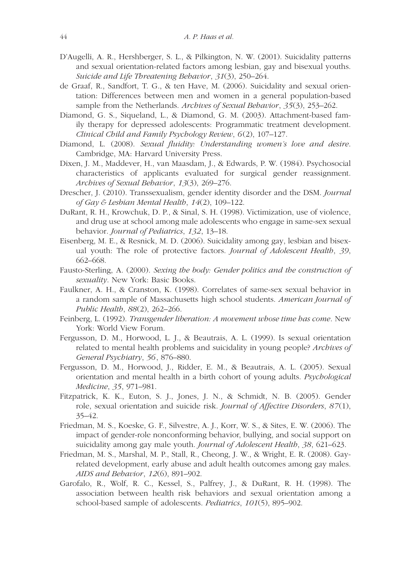- D'Augelli, A. R., Hershberger, S. L., & Pilkington, N. W. (2001). Suicidality patterns and sexual orientation-related factors among lesbian, gay and bisexual youths. *Suicide and Life Threatening Behavior*, *31*(3), 250–264.
- de Graaf, R., Sandfort, T. G., & ten Have, M. (2006). Suicidality and sexual orientation: Differences between men and women in a general population-based sample from the Netherlands. *Archives of Sexual Behavior*, *35*(3), 253–262.
- Diamond, G. S., Siqueland, L., & Diamond, G. M. (2003). Attachment-based family therapy for depressed adolescents: Programmatic treatment development. *Clinical Child and Family Psychology Review*, *6*(2), 107–127.
- Diamond, L. (2008). *Sexual fluidity: Understanding women's love and desire*. Cambridge, MA: Harvard University Press.
- Dixen, J. M., Maddever, H., van Maasdam, J., & Edwards, P. W. (1984). Psychosocial characteristics of applicants evaluated for surgical gender reassignment. *Archives of Sexual Behavior*, *13*(3), 269–276.
- Drescher, J. (2010). Transsexualism, gender identity disorder and the DSM. *Journal of Gay & Lesbian Mental Health*, *14*(2), 109–122.
- DuRant, R. H., Krowchuk, D. P., & Sinal, S. H. (1998). Victimization, use of violence, and drug use at school among male adolescents who engage in same-sex sexual behavior. *Journal of Pediatrics*, *132*, 13–18.
- Eisenberg, M. E., & Resnick, M. D. (2006). Suicidality among gay, lesbian and bisexual youth: The role of protective factors. *Journal of Adolescent Health*, *39*, 662–668.
- Fausto-Sterling, A. (2000). *Sexing the body: Gender politics and the construction of sexuality*. New York: Basic Books.
- Faulkner, A. H., & Cranston, K. (1998). Correlates of same-sex sexual behavior in a random sample of Massachusetts high school students. *American Journal of Public Health*, *88*(2), 262–266.
- Feinberg, L. (1992). *Transgender liberation: A movement whose time has come*. New York: World View Forum.
- Fergusson, D. M., Horwood, L. J., & Beautrais, A. L. (1999). Is sexual orientation related to mental health problems and suicidality in young people? *Archives of General Psychiatry*, *56*, 876–880.
- Fergusson, D. M., Horwood, J., Ridder, E. M., & Beautrais, A. L. (2005). Sexual orientation and mental health in a birth cohort of young adults. *Psychological Medicine*, *35*, 971–981.
- Fitzpatrick, K. K., Euton, S. J., Jones, J. N., & Schmidt, N. B. (2005). Gender role, sexual orientation and suicide risk. *Journal of Affective Disorders*, *87*(1), 35–42.
- Friedman, M. S., Koeske, G. F., Silvestre, A. J., Korr, W. S., & Sites, E. W. (2006). The impact of gender-role nonconforming behavior, bullying, and social support on suicidality among gay male youth. *Journal of Adolescent Health*, *38*, 621–623.
- Friedman, M. S., Marshal, M. P., Stall, R., Cheong, J. W., & Wright, E. R. (2008). Gayrelated development, early abuse and adult health outcomes among gay males. *AIDS and Behavior*, *12*(6), 891–902.
- Garofalo, R., Wolf, R. C., Kessel, S., Palfrey, J., & DuRant, R. H. (1998). The association between health risk behaviors and sexual orientation among a school-based sample of adolescents. *Pediatrics*, *101*(5), 895–902.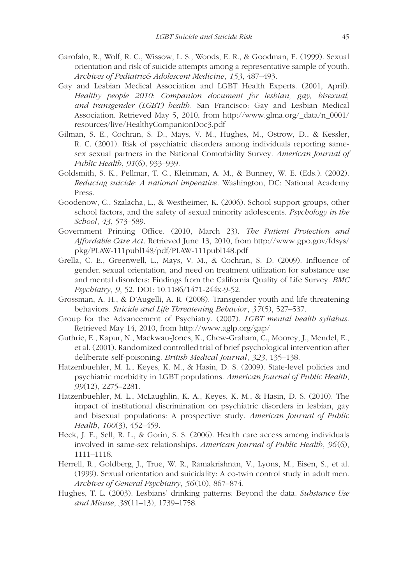- Garofalo, R., Wolf, R. C., Wissow, L. S., Woods, E. R., & Goodman, E. (1999). Sexual orientation and risk of suicide attempts among a representative sample of youth. *Archives of Pediatric& Adolescent Medicine*, *153*, 487–493.
- Gay and Lesbian Medical Association and LGBT Health Experts. (2001, April). *Healthy people 2010: Companion document for lesbian, gay, bisexual, and transgender (LGBT) health.* San Francisco: Gay and Lesbian Medical Association. Retrieved May 5, 2010, from http://www.glma.org/\_data/n\_0001/ resources/live/HealthyCompanionDoc3.pdf
- Gilman, S. E., Cochran, S. D., Mays, V. M., Hughes, M., Ostrow, D., & Kessler, R. C. (2001). Risk of psychiatric disorders among individuals reporting samesex sexual partners in the National Comorbidity Survey. *American Journal of Public Health*, *91*(6), 933–939.
- Goldsmith, S. K., Pellmar, T. C., Kleinman, A. M., & Bunney, W. E. (Eds.). (2002). *Reducing suicide: A national imperative*. Washington, DC: National Academy Press.
- Goodenow, C., Szalacha, L., & Westheimer, K. (2006). School support groups, other school factors, and the safety of sexual minority adolescents. *Psychology in the School*, *43*, 573–589.
- Government Printing Office. (2010, March 23). *The Patient Protection and Affordable Care Act*. Retrieved June 13, 2010, from http://www.gpo.gov/fdsys/ pkg/PLAW-111publ148/pdf/PLAW-111publ148.pdf
- Grella, C. E., Greenwell, L., Mays, V. M., & Cochran, S. D. (2009). Influence of gender, sexual orientation, and need on treatment utilization for substance use and mental disorders: Findings from the California Quality of Life Survey. *BMC Psychiatry*, *9*, 52. DOI: 10.1186/1471-244x-9-52.
- Grossman, A. H., & D'Augelli, A. R. (2008). Transgender youth and life threatening behaviors. *Suicide and Life Threatening Behavior*, *37*(5), 527–537.
- Group for the Advancement of Psychiatry. (2007). *LGBT mental health syllabus.* Retrieved May 14, 2010, from http://www.aglp.org/gap/
- Guthrie, E., Kapur, N., Mackwau-Jones, K., Chew-Graham, C., Moorey, J., Mendel, E., et al. (2001). Randomized controlled trial of brief psychological intervention after deliberate self-poisoning. *British Medical Journal*, *323*, 135–138.
- Hatzenbuehler, M. L., Keyes, K. M., & Hasin, D. S. (2009). State-level policies and psychiatric morbidity in LGBT populations. *American Journal of Public Health*, *99*(12), 2275–2281.
- Hatzenbuehler, M. L., McLaughlin, K. A., Keyes, K. M., & Hasin, D. S. (2010). The impact of institutional discrimination on psychiatric disorders in lesbian, gay and bisexual populations: A prospective study. *American Journal of Public Health*, *100*(3), 452–459.
- Heck, J. E., Sell, R. L., & Gorin, S. S. (2006). Health care access among individuals involved in same-sex relationships. *American Journal of Public Health*, *96*(6), 1111–1118.
- Herrell, R., Goldberg, J., True, W. R., Ramakrishnan, V., Lyons, M., Eisen, S., et al. (1999). Sexual orientation and suicidality: A co-twin control study in adult men. *Archives of General Psychiatry*, *56*(10), 867–874.
- Hughes, T. L. (2003). Lesbians' drinking patterns: Beyond the data. *Substance Use and Misuse*, *38*(11–13), 1739–1758.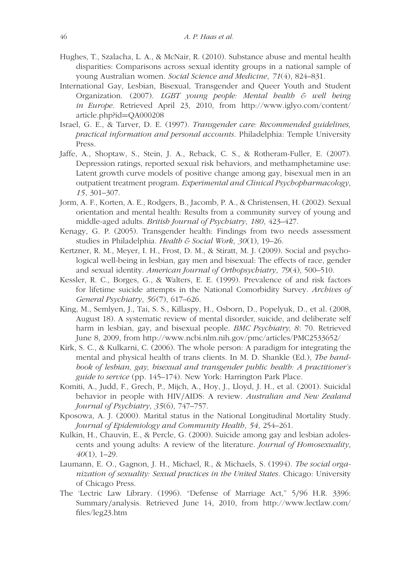- Hughes, T., Szalacha, L. A., & McNair, R. (2010). Substance abuse and mental health disparities: Comparisons across sexual identity groups in a national sample of young Australian women. *Social Science and Medicine*, *71*(4), 824–831.
- International Gay, Lesbian, Bisexual, Transgender and Queer Youth and Student Organization. (2007). *LGBT young people: Mental health & well being in Europe*. Retrieved April 23, 2010, from http://www.iglyo.com/content/ article.php?id=QA000208
- Israel, G. E., & Tarver, D. E. (1997). *Transgender care: Recommended guidelines, practical information and personal accounts*. Philadelphia: Temple University Press.
- Jaffe, A., Shoptaw, S., Stein, J. A., Reback, C. S., & Rotheram-Fuller, E. (2007). Depression ratings, reported sexual risk behaviors, and methamphetamine use: Latent growth curve models of positive change among gay, bisexual men in an outpatient treatment program. *Experimental and Clinical Psychopharmacology*, *15*, 301–307.
- Jorm, A. F., Korten, A. E., Rodgers, B., Jacomb, P. A., & Christensen, H. (2002). Sexual orientation and mental health: Results from a community survey of young and middle-aged adults. *British Journal of Psychiatry*, *180*, 423–427.
- Kenagy, G. P. (2005). Transgender health: Findings from two needs assessment studies in Philadelphia. *Health & Social Work*, *30*(1), 19–26.
- Kertzner, R. M., Meyer, I. H., Frost, D. M., & Stiratt, M. J. (2009). Social and psychological well-being in lesbian, gay men and bisexual: The effects of race, gender and sexual identity. *American Journal of Orthopsychiatry*, *79*(4), 500–510.
- Kessler, R. C., Borges, G., & Walters, E. E. (1999). Prevalence of and risk factors for lifetime suicide attempts in the National Comorbidity Survey. *Archives of General Psychiatry*, *56*(7), 617–626.
- King, M., Semlyen, J., Tai, S. S., Killaspy, H., Osborn, D., Popelyuk, D., et al. (2008, August 18). A systematic review of mental disorder, suicide, and deliberate self harm in lesbian, gay, and bisexual people. *BMC Psychiatry, 8*: 70. Retrieved June 8, 2009, from http://www.ncbi.nlm.nih.gov/pmc/articles/PMC2533652/
- Kirk, S. C., & Kulkarni, C. (2006). The whole person: A paradigm for integrating the mental and physical health of trans clients. In M. D. Shankle (Ed.), *The handbook of lesbian, gay, bisexual and transgender public health: A practitioner's guide to service* (pp. 145–174). New York: Harrington Park Place.
- Komiti, A., Judd, F., Grech, P., Mijch, A., Hoy, J., Lloyd, J. H., et al. (2001). Suicidal behavior in people with HIV*/*AIDS: A review. *Australian and New Zealand Journal of Psychiatry*, *35*(6), 747–757.
- Kposowa, A. J. (2000). Marital status in the National Longitudinal Mortality Study. *Journal of Epidemiology and Community Health*, *54*, 254–261.
- Kulkin, H., Chauvin, E., & Percle, G. (2000). Suicide among gay and lesbian adolescents and young adults: A review of the literature. *Journal of Homosexuality*, *40*(1), 1–29.
- Laumann, E. O., Gagnon, J. H., Michael, R., & Michaels, S. (1994). *The social organization of sexuality: Sexual practices in the United States*. Chicago: University of Chicago Press.
- The 'Lectric Law Library. (1996). "Defense of Marriage Act," 5*/*96 H.R. 3396: Summary*/*analysis. Retrieved June 14, 2010, from http://www.lectlaw.com/ files/leg23.htm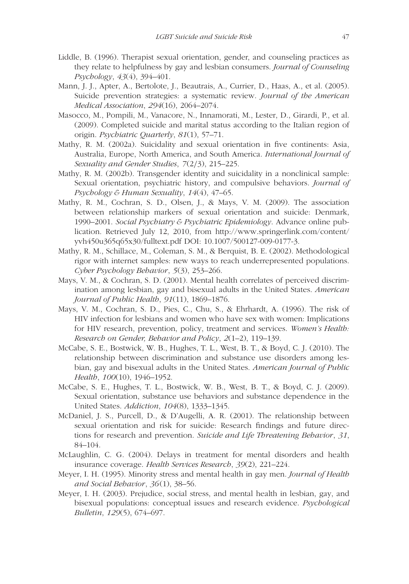- Liddle, B. (1996). Therapist sexual orientation, gender, and counseling practices as they relate to helpfulness by gay and lesbian consumers. *Journal of Counseling Psychology*, *43*(4), 394–401.
- Mann, J. J., Apter, A., Bertolote, J., Beautrais, A., Currier, D., Haas, A., et al. (2005). Suicide prevention strategies: a systematic review. *Journal of the American Medical Association*, *294*(16), 2064–2074.
- Masocco, M., Pompili, M., Vanacore, N., Innamorati, M., Lester, D., Girardi, P., et al. (2009). Completed suicide and marital status according to the Italian region of origin. *Psychiatric Quarterly*, *81*(1), 57–71.
- Mathy, R. M. (2002a). Suicidality and sexual orientation in five continents: Asia, Australia, Europe, North America, and South America. *International Journal of Sexuality and Gender Studies*, *7*(2*/*3), 215–225.
- Mathy, R. M. (2002b). Transgender identity and suicidality in a nonclinical sample: Sexual orientation, psychiatric history, and compulsive behaviors. *Journal of Psychology & Human Sexuality*, *14*(4), 47–65.
- Mathy, R. M., Cochran, S. D., Olsen, J., & Mays, V. M. (2009). The association between relationship markers of sexual orientation and suicide: Denmark, 1990–2001. *Social Psychiatry & Psychiatric Epidemiology*. Advance online publication. Retrieved July 12, 2010, from http://www.springerlink.com/content/ yvh450u365q65x30/fulltext.pdf DOI: 10.1007/500127-009-0177-3.
- Mathy, R. M., Schillace, M., Coleman, S. M., & Berquist, B. E. (2002). Methodological rigor with internet samples: new ways to reach underrepresented populations. *Cyber Psychology Behavior*, *5*(3), 253–266.
- Mays, V. M., & Cochran, S. D. (2001). Mental health correlates of perceived discrimination among lesbian, gay and bisexual adults in the United States. *American Journal of Public Health*, *91*(11), 1869–1876.
- Mays, V. M., Cochran, S. D., Pies, C., Chu, S., & Ehrhardt, A. (1996). The risk of HIV infection for lesbians and women who have sex with women: Implications for HIV research, prevention, policy, treatment and services. *Women's Health: Research on Gender, Behavior and Policy*, *2*(1–2), 119–139.
- McCabe, S. E., Bostwick, W. B., Hughes, T. L., West, B. T., & Boyd, C. J. (2010). The relationship between discrimination and substance use disorders among lesbian, gay and bisexual adults in the United States. *American Journal of Public Health*, *100*(10), 1946–1952.
- McCabe, S. E., Hughes, T. L., Bostwick, W. B., West, B. T., & Boyd, C. J. (2009). Sexual orientation, substance use behaviors and substance dependence in the United States. *Addiction*, *104*(8), 1333–1345.
- McDaniel, J. S., Purcell, D., & D'Augelli, A. R. (2001). The relationship between sexual orientation and risk for suicide: Research findings and future directions for research and prevention. *Suicide and Life Threatening Behavior*, *31*, 84–104.
- McLaughlin, C. G. (2004). Delays in treatment for mental disorders and health insurance coverage. *Health Services Research*, *39*(2), 221–224.
- Meyer, I. H. (1995). Minority stress and mental health in gay men. *Journal of Health and Social Behavior*, *36*(1), 38–56.
- Meyer, I. H. (2003). Prejudice, social stress, and mental health in lesbian, gay, and bisexual populations: conceptual issues and research evidence. *Psychological Bulletin*, *129*(5), 674–697.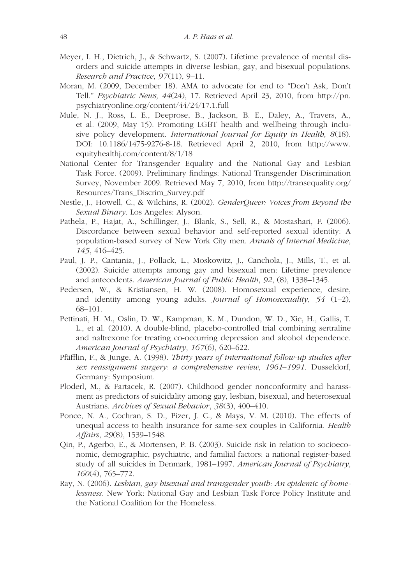- Meyer, I. H., Dietrich, J., & Schwartz, S. (2007). Lifetime prevalence of mental disorders and suicide attempts in diverse lesbian, gay, and bisexual populations. *Research and Practice*, *97*(11), 9–11.
- Moran, M. (2009, December 18). AMA to advocate for end to "Don't Ask, Don't Tell." *Psychiatric News, 44*(24), 17. Retrieved April 23, 2010, from http://pn. psychiatryonline.org/content/44/24/17.1.full
- Mule, N. J., Ross, L. E., Deeprose, B., Jackson, B. E., Daley, A., Travers, A., et al. (2009, May 15). Promoting LGBT health and wellbeing through inclusive policy development. *International Journal for Equity in Health, 8*(18). DOI: 10.1186/1475-9276-8-18. Retrieved April 2, 2010, from http://www. equityhealthj.com/content/8/1/18
- National Center for Transgender Equality and the National Gay and Lesbian Task Force. (2009). Preliminary findings: National Transgender Discrimination Survey, November 2009. Retrieved May 7, 2010, from http://transequality.org/ Resources/Trans\_Discrim\_Survey.pdf
- Nestle, J., Howell, C., & Wilchins, R. (2002). *GenderQueer: Voices from Beyond the Sexual Binary*. Los Angeles: Alyson.
- Pathela, P., Hajat, A., Schillinger, J., Blank, S., Sell, R., & Mostashari, F. (2006). Discordance between sexual behavior and self-reported sexual identity: A population-based survey of New York City men. *Annals of Internal Medicine*, *145*, 416–425.
- Paul, J. P., Cantania, J., Pollack, L., Moskowitz, J., Canchola, J., Mills, T., et al. (2002). Suicide attempts among gay and bisexual men: Lifetime prevalence and antecedents. *American Journal of Public Health*, *92*, (8), 1338–1345.
- Pedersen, W., & Kristiansen, H. W. (2008). Homosexual experience, desire, and identity among young adults. *Journal of Homosexuality*, *54* (1–2), 68–101.
- Pettinati, H. M., Oslin, D. W., Kampman, K. M., Dundon, W. D., Xie, H., Gallis, T. L., et al. (2010). A double-blind, placebo-controlled trial combining sertraline and naltrexone for treating co-occurring depression and alcohol dependence. *American Journal of Psychiatry*, *167*(6), 620–622.
- Pfäfflin, F., & Junge, A. (1998). *Thirty years of international follow-up studies after sex reassignment surgery: a comprehensive review, 1961–1991*. Dusseldorf, Germany: Symposium.
- Ploderl, M., & Fartacek, R. (2007). Childhood gender nonconformity and harassment as predictors of suicidality among gay, lesbian, bisexual, and heterosexual Austrians. *Archives of Sexual Behavior*, *38*(3), 400–410.
- Ponce, N. A., Cochran, S. D., Pizer, J. C., & Mays, V. M. (2010). The effects of unequal access to health insurance for same-sex couples in California. *Health Affairs*, *29*(8), 1539–1548.
- Qin, P., Agerbo, E., & Mortensen, P. B. (2003). Suicide risk in relation to socioeconomic, demographic, psychiatric, and familial factors: a national register-based study of all suicides in Denmark, 1981–1997. *American Journal of Psychiatry*, *160*(4), 765–772.
- Ray, N. (2006). *Lesbian, gay bisexual and transgender youth: An epidemic of homelessness*. New York: National Gay and Lesbian Task Force Policy Institute and the National Coalition for the Homeless.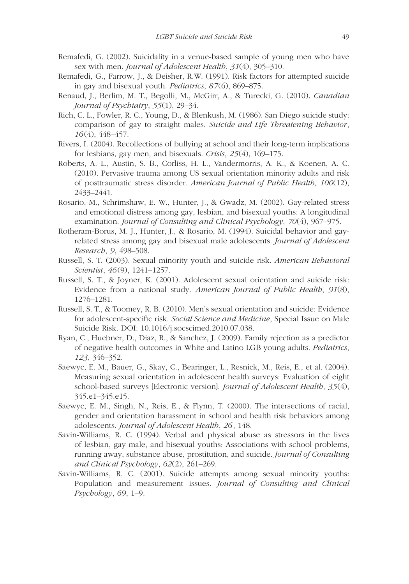- Remafedi, G. (2002). Suicidality in a venue-based sample of young men who have sex with men. *Journal of Adolescent Health*, *31*(4), 305–310.
- Remafedi, G., Farrow, J., & Deisher, R.W. (1991). Risk factors for attempted suicide in gay and bisexual youth. *Pediatrics*, *87*(6), 869–875.
- Renaud, J., Berlim, M. T., Begolli, M., McGirr, A., & Turecki, G. (2010). *Canadian Journal of Psychiatry*, *55*(1), 29–34.
- Rich, C. L., Fowler, R. C., Young, D., & Blenkush, M. (1986). San Diego suicide study: comparison of gay to straight males. *Suicide and Life Threatening Behavior*, *16*(4), 448–457.
- Rivers, I. (2004). Recollections of bullying at school and their long-term implications for lesbians, gay men, and bisexuals. *Crisis*, *25*(4), 169–175.
- Roberts, A. L., Austin, S. B., Corliss, H. L., Vandermorris, A. K., & Koenen, A. C. (2010). Pervasive trauma among US sexual orientation minority adults and risk of posttraumatic stress disorder. *American Journal of Public Health, 100*(12), 2433–2441.
- Rosario, M., Schrimshaw, E. W., Hunter, J., & Gwadz, M. (2002). Gay-related stress and emotional distress among gay, lesbian, and bisexual youths: A longitudinal examination. *Journal of Consulting and Clinical Psychology*, *70*(4), 967–975.
- Rotheram-Borus, M. J., Hunter, J., & Rosario, M. (1994). Suicidal behavior and gayrelated stress among gay and bisexual male adolescents. *Journal of Adolescent Research*, *9*, 498–508.
- Russell, S. T. (2003). Sexual minority youth and suicide risk. *American Behavioral Scientist*, *46*(9), 1241–1257.
- Russell, S. T., & Joyner, K. (2001). Adolescent sexual orientation and suicide risk: Evidence from a national study. *American Journal of Public Health*, *91*(8), 1276–1281.
- Russell, S. T., & Toomey, R. B. (2010). Men's sexual orientation and suicide: Evidence for adolescent-specific risk. *Social Science and Medicine*, Special Issue on Male Suicide Risk. DOI: 10.1016/j.socscimed.2010.07.038.
- Ryan, C., Huebner, D., Diaz, R., & Sanchez, J. (2009). Family rejection as a predictor of negative health outcomes in White and Latino LGB young adults. *Pediatrics*, *123*, 346–352.
- Saewyc, E. M., Bauer, G., Skay, C., Bearinger, L., Resnick, M., Reis, E., et al. (2004). Measuring sexual orientation in adolescent health surveys: Evaluation of eight school-based surveys [Electronic version]. *Journal of Adolescent Health*, *35*(4), 345.e1–345.e15.
- Saewyc, E. M., Singh, N., Reis, E., & Flynn, T. (2000). The intersections of racial, gender and orientation harassment in school and health risk behaviors among adolescents. *Journal of Adolescent Health*, *26*, 148.
- Savin-Williams, R. C. (1994). Verbal and physical abuse as stressors in the lives of lesbian, gay male, and bisexual youths: Associations with school problems, running away, substance abuse, prostitution, and suicide. *Journal of Consulting and Clinical Psychology*, *62*(2), 261–269.
- Savin-Williams, R. C. (2001). Suicide attempts among sexual minority youths: Population and measurement issues. *Journal of Consulting and Clinical Psychology*, *69*, 1–9.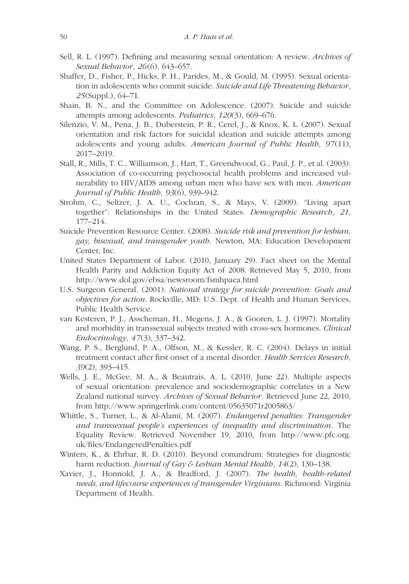- Sell, R. L. (1997). Defining and measuring sexual orientation: A review. *Archives of Sexual Behavior*, *26*(6), 643–657.
- Shaffer, D., Fisher, P., Hicks, P. H., Parides, M., & Gould, M. (1995). Sexual orientation in adolescents who commit suicide. *Suicide and Life Threatening Behavior*, *25*(Suppl.), 64–71.
- Shain, B. N., and the Committee on Adolescence. (2007). Suicide and suicide attempts among adolescents. *Pediatrics*, *120*(3), 669–676.
- Silenzio, V. M., Pena, J. B., Duberstein, P. R., Cerel, J., & Knox, K. L. (2007). Sexual orientation and risk factors for suicidal ideation and suicide attempts among adolescents and young adults. *American Journal of Public Health*, *97*(11), 2017–2019.
- Stall, R., Mills, T. C., Williamson, J., Hart, T., Greendwood, G., Paul, J. P., et al. (2003). Association of co-occurring psychosocial health problems and increased vulnerability to HIV*/*AIDS among urban men who have sex with men. *American Journal of Public Health*, *93*(6), 939–942.
- Strohm, C., Seltzer, J. A. U., Cochran, S., & Mays, V. (2009). "Living apart together": Relationships in the United States. *Demographic Research*, *21*, 177–214.
- Suicide Prevention Resource Center. (2008). *Suicide risk and prevention for lesbian, gay, bisexual, and transgender youth*. Newton, MA: Education Development Center, Inc.
- United States Department of Labor. (2010, January 29). Fact sheet on the Mental Health Parity and Addiction Equity Act of 2008. Retrieved May 5, 2010, from http://www.dol.gov/ebsa/newsroom/fsmhpaea.html
- U.S. Surgeon General. (2001). *National strategy for suicide prevention: Goals and objectives for action*. Rockville, MD: U.S. Dept. of Health and Human Services, Public Health Service.
- van Kesteren, P. J., Asscheman, H., Megens, J. A., & Gooren, L. J. (1997). Mortality and morbidity in transsexual subjects treated with cross-sex hormones. *Clinical Endocrinology*, *47*(3), 337–342.
- Wang, P. S., Berglund, P. A., Olfson, M., & Kessler, R. C. (2004). Delays in initial treatment contact after first onset of a mental disorder. *Health Services Research*, *39*(2), 393–415.
- Wells, J. E., McGee, M. A., & Beautrais, A. L. (2010, June 22). Multiple aspects of sexual orientation: prevalence and sociodemographic correlates in a New Zealand national survey. *Archives of Sexual Behavior*. Retrieved June 22, 2010, from http://www.springerlink.com/content/05635071r2005863/
- Whittle, S., Turner, L., & Al-Alami, M. (2007). *Endangered penalties: Transgender and transsexual people's experiences of inequality and discrimination*. The Equality Review. Retrieved November 19, 2010, from http://www.pfc.org. uk/files/EndangeredPenalties.pdf
- Winters, K., & Ehrbar, R. D. (2010). Beyond conundrum: Strategies for diagnostic harm reduction. *Journal of Gay & Lesbian Mental Health*, *14*(2), 130–138.
- Xavier, J., Honnold, J. A., & Bradford, J. (2007). *The health, health-related needs, and lifecourse experiences of transgender Virginians*. Richmond: Virginia Department of Health.